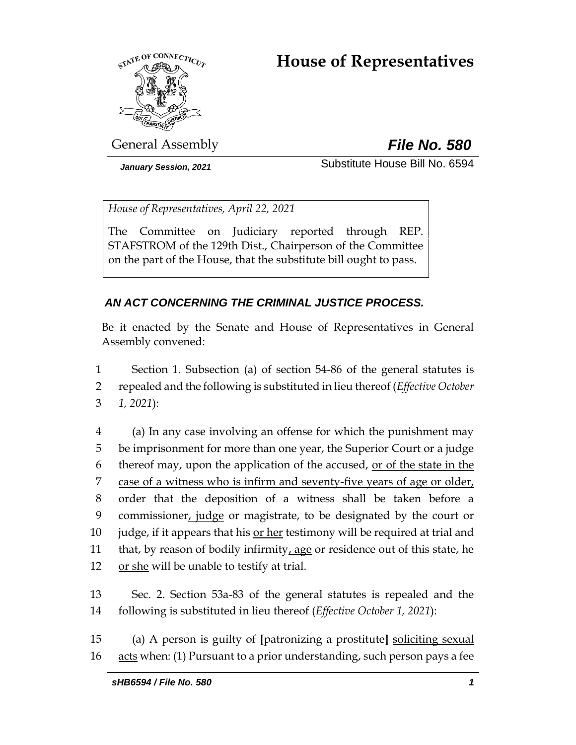# <span id="page-0-0"></span>**House of Representatives**



General Assembly *File No. 580*

*January Session, 2021* Substitute House Bill No. 6594

*House of Representatives, April 22, 2021*

The Committee on Judiciary reported through REP. STAFSTROM of the 129th Dist., Chairperson of the Committee on the part of the House, that the substitute bill ought to pass.

# *AN ACT CONCERNING THE CRIMINAL JUSTICE PROCESS.*

Be it enacted by the Senate and House of Representatives in General Assembly convened:

1 Section 1. Subsection (a) of section 54-86 of the general statutes is 2 repealed and the following is substituted in lieu thereof (*Effective October*  3 *1, 2021*):

 (a) In any case involving an offense for which the punishment may be imprisonment for more than one year, the Superior Court or a judge thereof may, upon the application of the accused, or of the state in the case of a witness who is infirm and seventy-five years of age or older, order that the deposition of a witness shall be taken before a 9 commissioner, judge or magistrate, to be designated by the court or judge, if it appears that his or her testimony will be required at trial and that, by reason of bodily infirmity, age or residence out of this state, he 12 or she will be unable to testify at trial.

13 Sec. 2. Section 53a-83 of the general statutes is repealed and the 14 following is substituted in lieu thereof (*Effective October 1, 2021*):

15 (a) A person is guilty of **[**patronizing a prostitute**]** soliciting sexual 16 acts when: (1) Pursuant to a prior understanding, such person pays a fee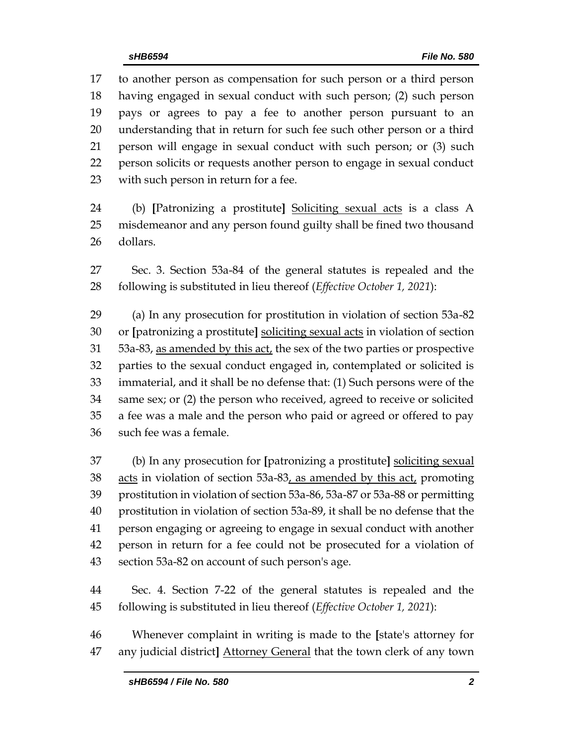to another person as compensation for such person or a third person having engaged in sexual conduct with such person; (2) such person pays or agrees to pay a fee to another person pursuant to an understanding that in return for such fee such other person or a third person will engage in sexual conduct with such person; or (3) such person solicits or requests another person to engage in sexual conduct with such person in return for a fee.

 (b) **[**Patronizing a prostitute**]** Soliciting sexual acts is a class A misdemeanor and any person found guilty shall be fined two thousand dollars.

 Sec. 3. Section 53a-84 of the general statutes is repealed and the following is substituted in lieu thereof (*Effective October 1, 2021*):

 (a) In any prosecution for prostitution in violation of section 53a-82 or **[**patronizing a prostitute**]** soliciting sexual acts in violation of section 53a-83, as amended by this act, the sex of the two parties or prospective parties to the sexual conduct engaged in, contemplated or solicited is immaterial, and it shall be no defense that: (1) Such persons were of the same sex; or (2) the person who received, agreed to receive or solicited a fee was a male and the person who paid or agreed or offered to pay such fee was a female.

 (b) In any prosecution for **[**patronizing a prostitute**]** soliciting sexual acts in violation of section 53a-83, as amended by this act, promoting prostitution in violation of section 53a-86, 53a-87 or 53a-88 or permitting prostitution in violation of section 53a-89, it shall be no defense that the person engaging or agreeing to engage in sexual conduct with another person in return for a fee could not be prosecuted for a violation of section 53a-82 on account of such person's age.

 Sec. 4. Section 7-22 of the general statutes is repealed and the following is substituted in lieu thereof (*Effective October 1, 2021*):

 Whenever complaint in writing is made to the **[**state's attorney for any judicial district**]** Attorney General that the town clerk of any town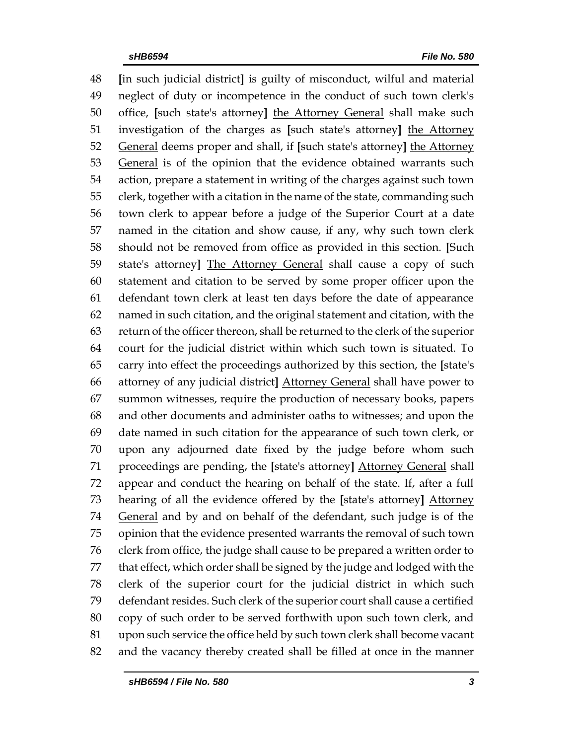**[**in such judicial district**]** is guilty of misconduct, wilful and material neglect of duty or incompetence in the conduct of such town clerk's office, **[**such state's attorney**]** the Attorney General shall make such investigation of the charges as **[**such state's attorney**]** the Attorney General deems proper and shall, if **[**such state's attorney**]** the Attorney 53 General is of the opinion that the evidence obtained warrants such action, prepare a statement in writing of the charges against such town clerk, together with a citation in the name of the state, commanding such town clerk to appear before a judge of the Superior Court at a date named in the citation and show cause, if any, why such town clerk should not be removed from office as provided in this section. **[**Such state's attorney**]** The Attorney General shall cause a copy of such statement and citation to be served by some proper officer upon the defendant town clerk at least ten days before the date of appearance named in such citation, and the original statement and citation, with the return of the officer thereon, shall be returned to the clerk of the superior court for the judicial district within which such town is situated. To carry into effect the proceedings authorized by this section, the **[**state's attorney of any judicial district**]** Attorney General shall have power to summon witnesses, require the production of necessary books, papers and other documents and administer oaths to witnesses; and upon the date named in such citation for the appearance of such town clerk, or upon any adjourned date fixed by the judge before whom such proceedings are pending, the **[**state's attorney**]** Attorney General shall appear and conduct the hearing on behalf of the state. If, after a full hearing of all the evidence offered by the **[**state's attorney**]** Attorney General and by and on behalf of the defendant, such judge is of the opinion that the evidence presented warrants the removal of such town clerk from office, the judge shall cause to be prepared a written order to that effect, which order shall be signed by the judge and lodged with the clerk of the superior court for the judicial district in which such defendant resides. Such clerk of the superior court shall cause a certified copy of such order to be served forthwith upon such town clerk, and upon such service the office held by such town clerk shall become vacant and the vacancy thereby created shall be filled at once in the manner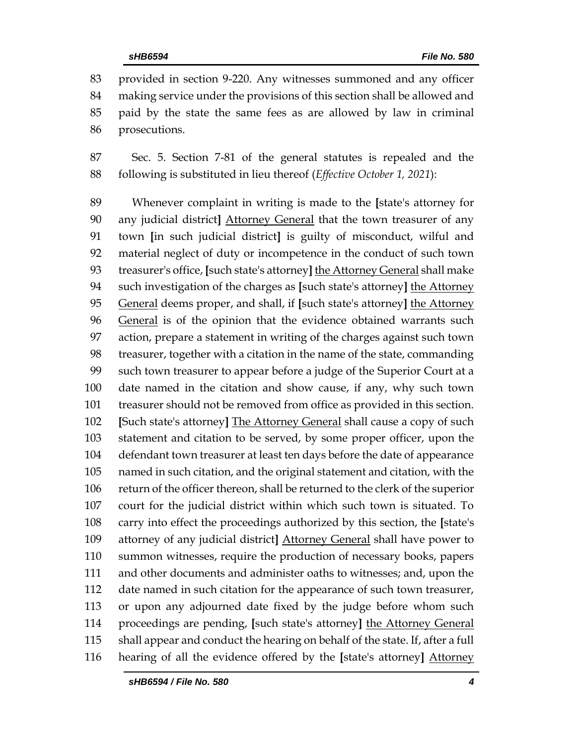provided in section 9-220. Any witnesses summoned and any officer making service under the provisions of this section shall be allowed and paid by the state the same fees as are allowed by law in criminal prosecutions.

 Sec. 5. Section 7-81 of the general statutes is repealed and the following is substituted in lieu thereof (*Effective October 1, 2021*):

 Whenever complaint in writing is made to the **[**state's attorney for any judicial district**]** Attorney General that the town treasurer of any town **[**in such judicial district**]** is guilty of misconduct, wilful and material neglect of duty or incompetence in the conduct of such town treasurer's office, **[**such state's attorney**]** the Attorney General shall make such investigation of the charges as **[**such state's attorney**]** the Attorney General deems proper, and shall, if **[**such state's attorney**]** the Attorney 96 General is of the opinion that the evidence obtained warrants such action, prepare a statement in writing of the charges against such town treasurer, together with a citation in the name of the state, commanding such town treasurer to appear before a judge of the Superior Court at a date named in the citation and show cause, if any, why such town treasurer should not be removed from office as provided in this section. **[**Such state's attorney**]** The Attorney General shall cause a copy of such statement and citation to be served, by some proper officer, upon the defendant town treasurer at least ten days before the date of appearance named in such citation, and the original statement and citation, with the return of the officer thereon, shall be returned to the clerk of the superior court for the judicial district within which such town is situated. To carry into effect the proceedings authorized by this section, the **[**state's attorney of any judicial district**]** Attorney General shall have power to summon witnesses, require the production of necessary books, papers and other documents and administer oaths to witnesses; and, upon the date named in such citation for the appearance of such town treasurer, or upon any adjourned date fixed by the judge before whom such proceedings are pending, **[**such state's attorney**]** the Attorney General shall appear and conduct the hearing on behalf of the state. If, after a full hearing of all the evidence offered by the **[**state's attorney**]** Attorney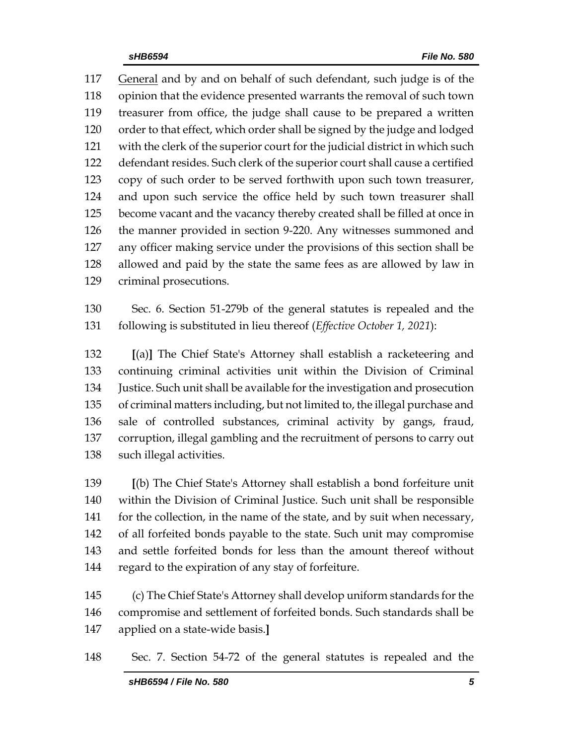General and by and on behalf of such defendant, such judge is of the opinion that the evidence presented warrants the removal of such town treasurer from office, the judge shall cause to be prepared a written order to that effect, which order shall be signed by the judge and lodged with the clerk of the superior court for the judicial district in which such defendant resides. Such clerk of the superior court shall cause a certified copy of such order to be served forthwith upon such town treasurer, and upon such service the office held by such town treasurer shall become vacant and the vacancy thereby created shall be filled at once in the manner provided in section 9-220. Any witnesses summoned and any officer making service under the provisions of this section shall be allowed and paid by the state the same fees as are allowed by law in criminal prosecutions.

 Sec. 6. Section 51-279b of the general statutes is repealed and the following is substituted in lieu thereof (*Effective October 1, 2021*):

 **[**(a)**]** The Chief State's Attorney shall establish a racketeering and continuing criminal activities unit within the Division of Criminal Justice. Such unit shall be available for the investigation and prosecution of criminal matters including, but not limited to, the illegal purchase and sale of controlled substances, criminal activity by gangs, fraud, corruption, illegal gambling and the recruitment of persons to carry out such illegal activities.

 **[**(b) The Chief State's Attorney shall establish a bond forfeiture unit within the Division of Criminal Justice. Such unit shall be responsible 141 for the collection, in the name of the state, and by suit when necessary, of all forfeited bonds payable to the state. Such unit may compromise and settle forfeited bonds for less than the amount thereof without regard to the expiration of any stay of forfeiture.

 (c) The Chief State's Attorney shall develop uniform standards for the compromise and settlement of forfeited bonds. Such standards shall be applied on a state-wide basis.**]**

Sec. 7. Section 54-72 of the general statutes is repealed and the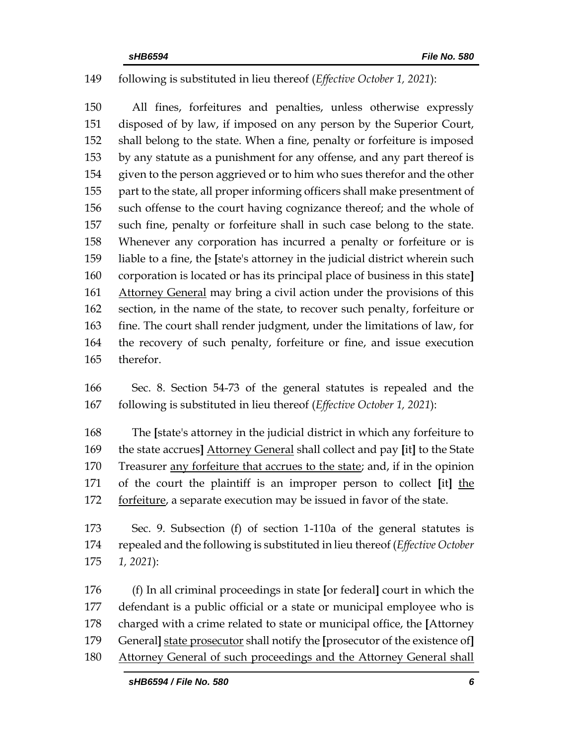## following is substituted in lieu thereof (*Effective October 1, 2021*):

 All fines, forfeitures and penalties, unless otherwise expressly disposed of by law, if imposed on any person by the Superior Court, shall belong to the state. When a fine, penalty or forfeiture is imposed by any statute as a punishment for any offense, and any part thereof is given to the person aggrieved or to him who sues therefor and the other part to the state, all proper informing officers shall make presentment of such offense to the court having cognizance thereof; and the whole of such fine, penalty or forfeiture shall in such case belong to the state. Whenever any corporation has incurred a penalty or forfeiture or is liable to a fine, the **[**state's attorney in the judicial district wherein such corporation is located or has its principal place of business in this state**]** 161 Attorney General may bring a civil action under the provisions of this section, in the name of the state, to recover such penalty, forfeiture or fine. The court shall render judgment, under the limitations of law, for the recovery of such penalty, forfeiture or fine, and issue execution therefor.

 Sec. 8. Section 54-73 of the general statutes is repealed and the following is substituted in lieu thereof (*Effective October 1, 2021*):

 The **[**state's attorney in the judicial district in which any forfeiture to the state accrues**]** Attorney General shall collect and pay **[**it**]** to the State Treasurer any forfeiture that accrues to the state; and, if in the opinion of the court the plaintiff is an improper person to collect **[**it**]** the 172 forfeiture, a separate execution may be issued in favor of the state.

 Sec. 9. Subsection (f) of section 1-110a of the general statutes is repealed and the following is substituted in lieu thereof (*Effective October 1, 2021*):

 (f) In all criminal proceedings in state **[**or federal**]** court in which the defendant is a public official or a state or municipal employee who is charged with a crime related to state or municipal office, the **[**Attorney General**]** state prosecutor shall notify the **[**prosecutor of the existence of**]** Attorney General of such proceedings and the Attorney General shall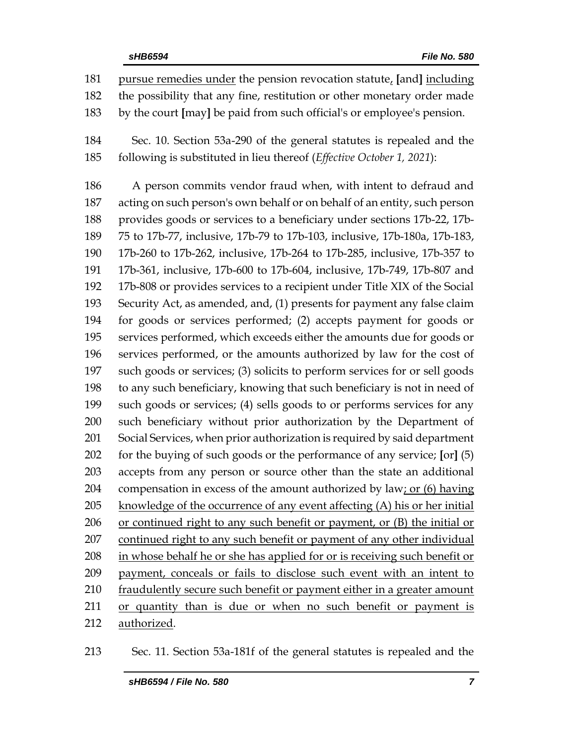pursue remedies under the pension revocation statute, **[**and**]** including the possibility that any fine, restitution or other monetary order made by the court **[**may**]** be paid from such official's or employee's pension.

 Sec. 10. Section 53a-290 of the general statutes is repealed and the following is substituted in lieu thereof (*Effective October 1, 2021*):

 A person commits vendor fraud when, with intent to defraud and acting on such person's own behalf or on behalf of an entity, such person provides goods or services to a beneficiary under sections 17b-22, 17b- 75 to 17b-77, inclusive, 17b-79 to 17b-103, inclusive, 17b-180a, 17b-183, 17b-260 to 17b-262, inclusive, 17b-264 to 17b-285, inclusive, 17b-357 to 17b-361, inclusive, 17b-600 to 17b-604, inclusive, 17b-749, 17b-807 and 17b-808 or provides services to a recipient under Title XIX of the Social Security Act, as amended, and, (1) presents for payment any false claim for goods or services performed; (2) accepts payment for goods or services performed, which exceeds either the amounts due for goods or services performed, or the amounts authorized by law for the cost of such goods or services; (3) solicits to perform services for or sell goods to any such beneficiary, knowing that such beneficiary is not in need of such goods or services; (4) sells goods to or performs services for any such beneficiary without prior authorization by the Department of Social Services, when prior authorization is required by said department for the buying of such goods or the performance of any service; **[**or**]** (5) accepts from any person or source other than the state an additional compensation in excess of the amount authorized by law; or (6) having 205 knowledge of the occurrence of any event affecting (A) his or her initial or continued right to any such benefit or payment, or (B) the initial or continued right to any such benefit or payment of any other individual 208 in whose behalf he or she has applied for or is receiving such benefit or payment, conceals or fails to disclose such event with an intent to fraudulently secure such benefit or payment either in a greater amount or quantity than is due or when no such benefit or payment is authorized.

Sec. 11. Section 53a-181f of the general statutes is repealed and the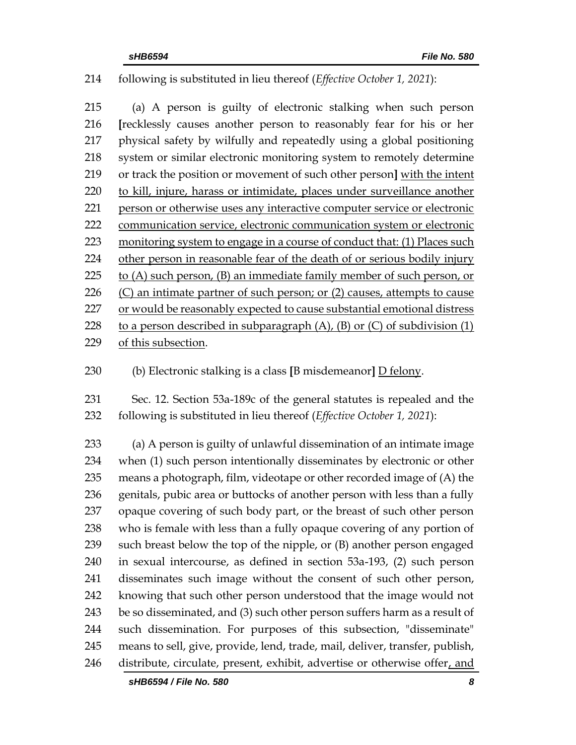## following is substituted in lieu thereof (*Effective October 1, 2021*):

 (a) A person is guilty of electronic stalking when such person **[**recklessly causes another person to reasonably fear for his or her physical safety by wilfully and repeatedly using a global positioning system or similar electronic monitoring system to remotely determine or track the position or movement of such other person**]** with the intent to kill, injure, harass or intimidate, places under surveillance another person or otherwise uses any interactive computer service or electronic communication service, electronic communication system or electronic monitoring system to engage in a course of conduct that: (1) Places such other person in reasonable fear of the death of or [serious bodily injury](https://www.law.cornell.edu/definitions/uscode.php?width=840&height=800&iframe=true&def_id=18-USC-402227300-1416750995&term_occur=999&term_src=title:18:part:I:chapter:110A:section:2261A) to (A) such person, (B) an immediate family member of such person, or  $(C)$  an intimate partner of such person; or  $(2)$  causes, attempts to cause or would be reasonably expected to cause substantial emotional distress 228 to a person described in subparagraph  $(A)$ ,  $(B)$  or  $(C)$  of subdivision  $(1)$ of this subsection.

- 
- (b) Electronic stalking is a class **[**B misdemeanor**]** D felony.
- Sec. 12. Section 53a-189c of the general statutes is repealed and the following is substituted in lieu thereof (*Effective October 1, 2021*):

 (a) A person is guilty of unlawful dissemination of an intimate image when (1) such person intentionally disseminates by electronic or other means a photograph, film, videotape or other recorded image of (A) the genitals, pubic area or buttocks of another person with less than a fully opaque covering of such body part, or the breast of such other person who is female with less than a fully opaque covering of any portion of such breast below the top of the nipple, or (B) another person engaged in sexual intercourse, as defined in section 53a-193, (2) such person disseminates such image without the consent of such other person, knowing that such other person understood that the image would not be so disseminated, and (3) such other person suffers harm as a result of such dissemination. For purposes of this subsection, "disseminate" means to sell, give, provide, lend, trade, mail, deliver, transfer, publish, distribute, circulate, present, exhibit, advertise or otherwise offer, and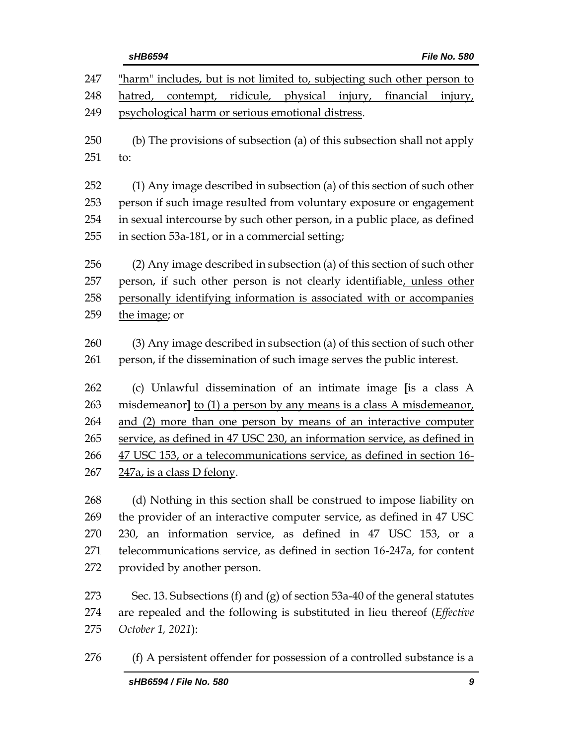# *sHB6594 File No. 580* 247 "harm" includes, but is not limited to, subjecting such other person to hatred, contempt, ridicule, physical injury, financial injury, psychological harm or serious emotional distress. (b) The provisions of subsection (a) of this subsection shall not apply to: (1) Any image described in subsection (a) of this section of such other person if such image resulted from voluntary exposure or engagement in sexual intercourse by such other person, in a public place, as defined in section 53a-181, or in a commercial setting; (2) Any image described in subsection (a) of this section of such other person, if such other person is not clearly identifiable, unless other personally identifying information is associated with or accompanies 259 the image; or (3) Any image described in subsection (a) of this section of such other person, if the dissemination of such image serves the public interest. (c) Unlawful dissemination of an intimate image **[**is a class A misdemeanor**]** to (1) a person by any means is a class A misdemeanor, and (2) more than one person by means of an interactive computer service, as defined in 47 USC 230, an information service, as defined in 47 USC 153, or a telecommunications service, as defined in section 16- 247a, is a class D felony. (d) Nothing in this section shall be construed to impose liability on the provider of an interactive computer service, as defined in 47 USC 230, an information service, as defined in 47 USC 153, or a telecommunications service, as defined in section 16-247a, for content provided by another person. Sec. 13. Subsections (f) and (g) of section 53a-40 of the general statutes are repealed and the following is substituted in lieu thereof (*Effective*

*October 1, 2021*):

276 (f) A persistent offender for possession of a controlled substance is a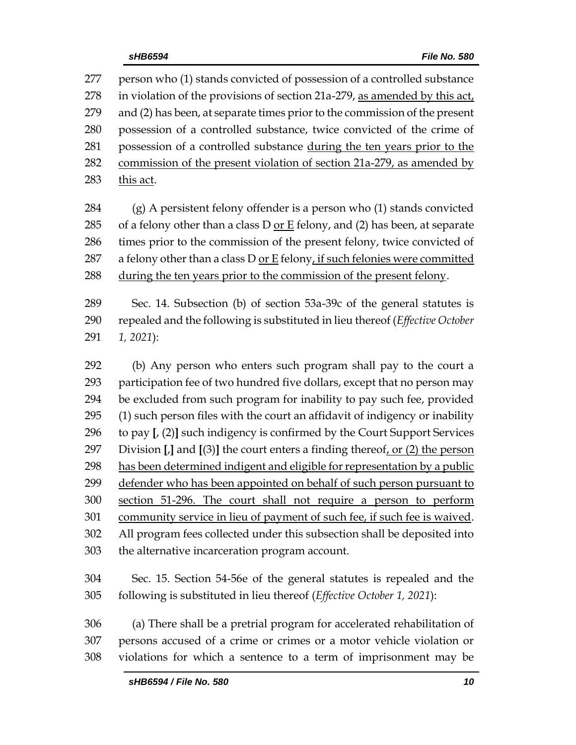person who (1) stands convicted of possession of a controlled substance in violation of the provisions of section 21a-279, as amended by this act, and (2) has been, at separate times prior to the commission of the present possession of a controlled substance, twice convicted of the crime of possession of a controlled substance during the ten years prior to the 282 commission of the present violation of section 21a-279, as amended by this act.

 (g) A persistent felony offender is a person who (1) stands convicted 285 of a felony other than a class  $D$  or  $E$  felony, and (2) has been, at separate times prior to the commission of the present felony, twice convicted of 287 a felony other than a class D or E felony, if such felonies were committed during the ten years prior to the commission of the present felony.

 Sec. 14. Subsection (b) of section 53a-39c of the general statutes is repealed and the following is substituted in lieu thereof (*Effective October 1, 2021*):

 (b) Any person who enters such program shall pay to the court a participation fee of two hundred five dollars, except that no person may be excluded from such program for inability to pay such fee, provided (1) such person files with the court an affidavit of indigency or inability to pay **[**, (2)**]** such indigency is confirmed by the Court Support Services Division **[**,**]** and **[**(3)**]** the court enters a finding thereof, or (2) the person has been determined indigent and eligible for representation by a public defender who has been appointed on behalf of such person pursuant to section 51-296. The court shall not require a person to perform community service in lieu of payment of such fee, if such fee is waived. All program fees collected under this subsection shall be deposited into the alternative incarceration program account.

 Sec. 15. Section 54-56e of the general statutes is repealed and the following is substituted in lieu thereof (*Effective October 1, 2021*):

 (a) There shall be a pretrial program for accelerated rehabilitation of persons accused of a crime or crimes or a motor vehicle violation or violations for which a sentence to a term of imprisonment may be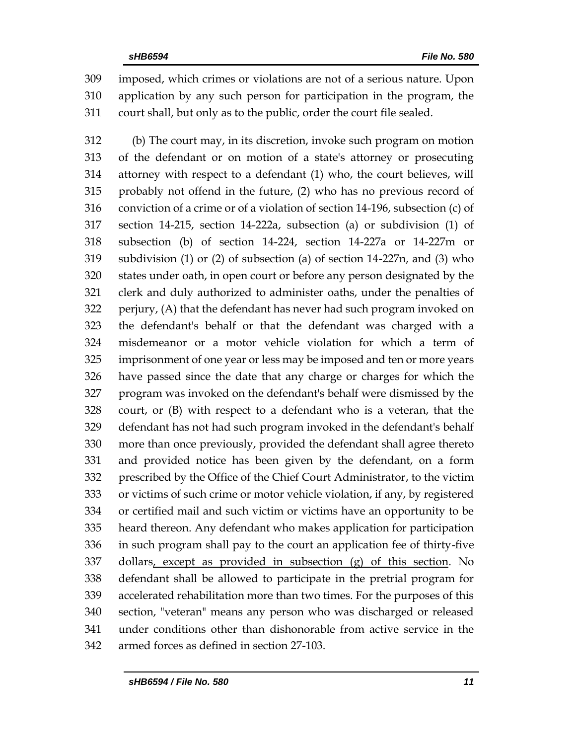imposed, which crimes or violations are not of a serious nature. Upon application by any such person for participation in the program, the court shall, but only as to the public, order the court file sealed.

 (b) The court may, in its discretion, invoke such program on motion of the defendant or on motion of a state's attorney or prosecuting attorney with respect to a defendant (1) who, the court believes, will probably not offend in the future, (2) who has no previous record of conviction of a crime or of a violation of section 14-196, subsection (c) of section 14-215, section 14-222a, subsection (a) or subdivision (1) of subsection (b) of section 14-224, section 14-227a or 14-227m or subdivision (1) or (2) of subsection (a) of section 14-227n, and (3) who states under oath, in open court or before any person designated by the clerk and duly authorized to administer oaths, under the penalties of perjury, (A) that the defendant has never had such program invoked on the defendant's behalf or that the defendant was charged with a misdemeanor or a motor vehicle violation for which a term of imprisonment of one year or less may be imposed and ten or more years have passed since the date that any charge or charges for which the program was invoked on the defendant's behalf were dismissed by the court, or (B) with respect to a defendant who is a veteran, that the defendant has not had such program invoked in the defendant's behalf more than once previously, provided the defendant shall agree thereto and provided notice has been given by the defendant, on a form prescribed by the Office of the Chief Court Administrator, to the victim or victims of such crime or motor vehicle violation, if any, by registered or certified mail and such victim or victims have an opportunity to be heard thereon. Any defendant who makes application for participation in such program shall pay to the court an application fee of thirty-five dollars, except as provided in subsection (g) of this section. No defendant shall be allowed to participate in the pretrial program for accelerated rehabilitation more than two times. For the purposes of this section, "veteran" means any person who was discharged or released under conditions other than dishonorable from active service in the armed forces as defined in section 27-103.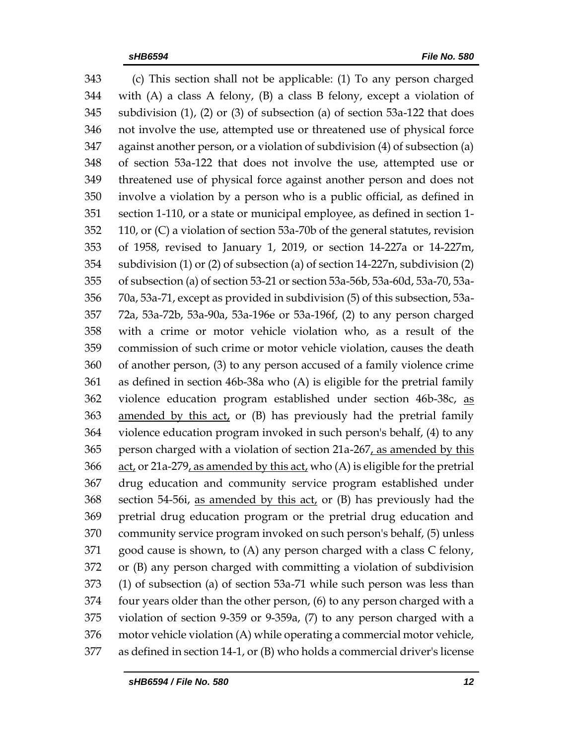(c) This section shall not be applicable: (1) To any person charged with (A) a class A felony, (B) a class B felony, except a violation of subdivision (1), (2) or (3) of subsection (a) of section 53a-122 that does not involve the use, attempted use or threatened use of physical force against another person, or a violation of subdivision (4) of subsection (a) of section 53a-122 that does not involve the use, attempted use or threatened use of physical force against another person and does not involve a violation by a person who is a public official, as defined in section 1-110, or a state or municipal employee, as defined in section 1- 110, or (C) a violation of section 53a-70b of the general statutes, revision of 1958, revised to January 1, 2019, or section 14-227a or 14-227m, subdivision (1) or (2) of subsection (a) of section 14-227n, subdivision (2) of subsection (a) of section 53-21 or section 53a-56b, 53a-60d, 53a-70, 53a- 70a, 53a-71, except as provided in subdivision (5) of this subsection, 53a- 72a, 53a-72b, 53a-90a, 53a-196e or 53a-196f, (2) to any person charged with a crime or motor vehicle violation who, as a result of the commission of such crime or motor vehicle violation, causes the death of another person, (3) to any person accused of a family violence crime as defined in section 46b-38a who (A) is eligible for the pretrial family violence education program established under section 46b-38c, as amended by this act, or (B) has previously had the pretrial family violence education program invoked in such person's behalf, (4) to any 365 person charged with a violation of section 21a-267, as amended by this act, or 21a-279, as amended by this act, who (A) is eligible for the pretrial drug education and community service program established under section 54-56i, as amended by this act, or (B) has previously had the pretrial drug education program or the pretrial drug education and community service program invoked on such person's behalf, (5) unless good cause is shown, to (A) any person charged with a class C felony, or (B) any person charged with committing a violation of subdivision (1) of subsection (a) of section 53a-71 while such person was less than four years older than the other person, (6) to any person charged with a violation of section 9-359 or 9-359a, (7) to any person charged with a motor vehicle violation (A) while operating a commercial motor vehicle, as defined in section 14-1, or (B) who holds a commercial driver's license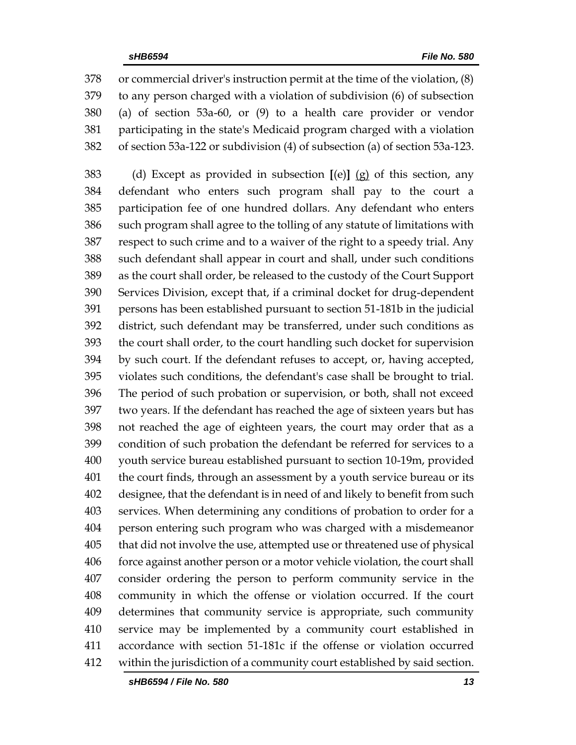or commercial driver's instruction permit at the time of the violation, (8) to any person charged with a violation of subdivision (6) of subsection (a) of section 53a-60, or (9) to a health care provider or vendor participating in the state's Medicaid program charged with a violation of section 53a-122 or subdivision (4) of subsection (a) of section 53a-123.

 (d) Except as provided in subsection **[**(e)**]** (g) of this section, any defendant who enters such program shall pay to the court a participation fee of one hundred dollars. Any defendant who enters such program shall agree to the tolling of any statute of limitations with respect to such crime and to a waiver of the right to a speedy trial. Any such defendant shall appear in court and shall, under such conditions as the court shall order, be released to the custody of the Court Support Services Division, except that, if a criminal docket for drug-dependent persons has been established pursuant to section 51-181b in the judicial district, such defendant may be transferred, under such conditions as the court shall order, to the court handling such docket for supervision by such court. If the defendant refuses to accept, or, having accepted, violates such conditions, the defendant's case shall be brought to trial. The period of such probation or supervision, or both, shall not exceed two years. If the defendant has reached the age of sixteen years but has not reached the age of eighteen years, the court may order that as a condition of such probation the defendant be referred for services to a youth service bureau established pursuant to section 10-19m, provided the court finds, through an assessment by a youth service bureau or its designee, that the defendant is in need of and likely to benefit from such services. When determining any conditions of probation to order for a person entering such program who was charged with a misdemeanor that did not involve the use, attempted use or threatened use of physical force against another person or a motor vehicle violation, the court shall consider ordering the person to perform community service in the community in which the offense or violation occurred. If the court determines that community service is appropriate, such community service may be implemented by a community court established in accordance with section 51-181c if the offense or violation occurred within the jurisdiction of a community court established by said section.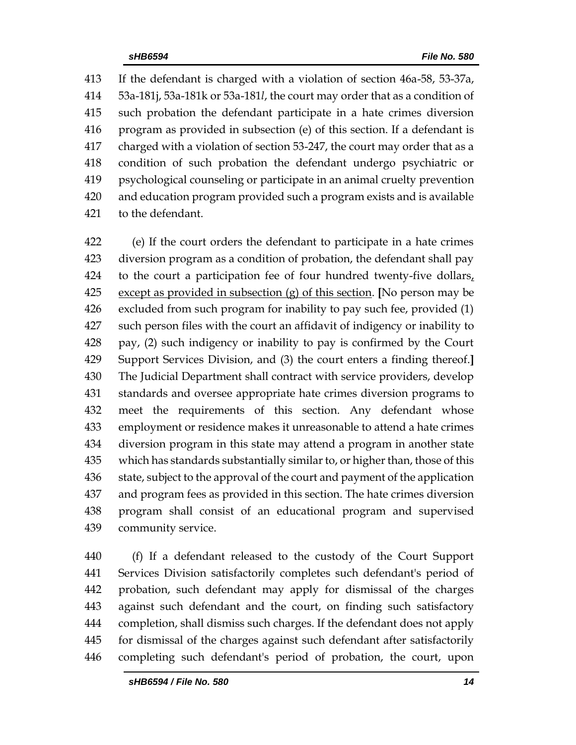If the defendant is charged with a violation of section 46a-58, 53-37a, 53a-181j, 53a-181k or 53a-181*l*, the court may order that as a condition of such probation the defendant participate in a hate crimes diversion program as provided in subsection (e) of this section. If a defendant is charged with a violation of section 53-247, the court may order that as a condition of such probation the defendant undergo psychiatric or psychological counseling or participate in an animal cruelty prevention and education program provided such a program exists and is available to the defendant.

 (e) If the court orders the defendant to participate in a hate crimes diversion program as a condition of probation, the defendant shall pay to the court a participation fee of four hundred twenty-five dollars, except as provided in subsection (g) of this section. **[**No person may be excluded from such program for inability to pay such fee, provided (1) such person files with the court an affidavit of indigency or inability to pay, (2) such indigency or inability to pay is confirmed by the Court Support Services Division, and (3) the court enters a finding thereof.**]** The Judicial Department shall contract with service providers, develop standards and oversee appropriate hate crimes diversion programs to meet the requirements of this section. Any defendant whose employment or residence makes it unreasonable to attend a hate crimes diversion program in this state may attend a program in another state which has standards substantially similar to, or higher than, those of this 436 state, subject to the approval of the court and payment of the application and program fees as provided in this section. The hate crimes diversion program shall consist of an educational program and supervised community service.

 (f) If a defendant released to the custody of the Court Support Services Division satisfactorily completes such defendant's period of probation, such defendant may apply for dismissal of the charges against such defendant and the court, on finding such satisfactory completion, shall dismiss such charges. If the defendant does not apply for dismissal of the charges against such defendant after satisfactorily completing such defendant's period of probation, the court, upon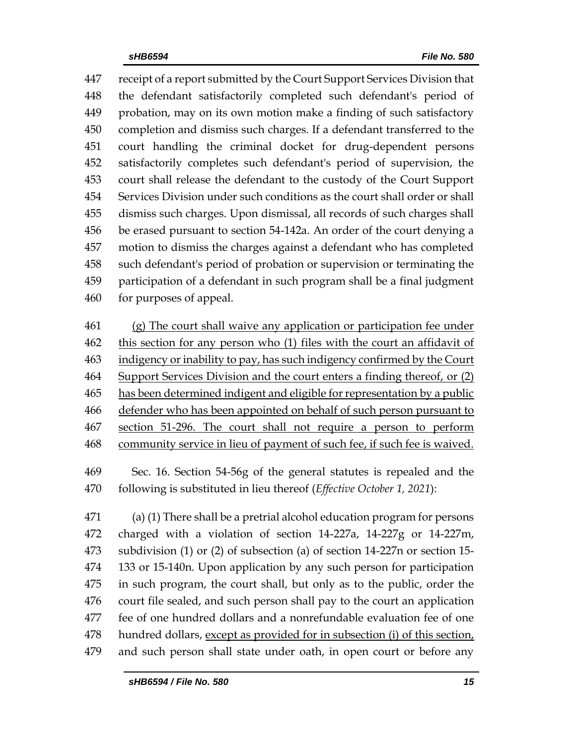receipt of a report submitted by the Court Support Services Division that the defendant satisfactorily completed such defendant's period of probation, may on its own motion make a finding of such satisfactory completion and dismiss such charges. If a defendant transferred to the court handling the criminal docket for drug-dependent persons satisfactorily completes such defendant's period of supervision, the court shall release the defendant to the custody of the Court Support Services Division under such conditions as the court shall order or shall dismiss such charges. Upon dismissal, all records of such charges shall be erased pursuant to section 54-142a. An order of the court denying a motion to dismiss the charges against a defendant who has completed such defendant's period of probation or supervision or terminating the participation of a defendant in such program shall be a final judgment for purposes of appeal.

 (g) The court shall waive any application or participation fee under this section for any person who (1) files with the court an affidavit of 463 indigency or inability to pay, has such indigency confirmed by the Court Support Services Division and the court enters a finding thereof, or (2) has been determined indigent and eligible for representation by a public defender who has been appointed on behalf of such person pursuant to section 51-296. The court shall not require a person to perform community service in lieu of payment of such fee, if such fee is waived.

 Sec. 16. Section 54-56g of the general statutes is repealed and the following is substituted in lieu thereof (*Effective October 1, 2021*):

 (a) (1) There shall be a pretrial alcohol education program for persons charged with a violation of section 14-227a, 14-227g or 14-227m, subdivision (1) or (2) of subsection (a) of section 14-227n or section 15- 133 or 15-140n. Upon application by any such person for participation in such program, the court shall, but only as to the public, order the court file sealed, and such person shall pay to the court an application fee of one hundred dollars and a nonrefundable evaluation fee of one hundred dollars, except as provided for in subsection (i) of this section, and such person shall state under oath, in open court or before any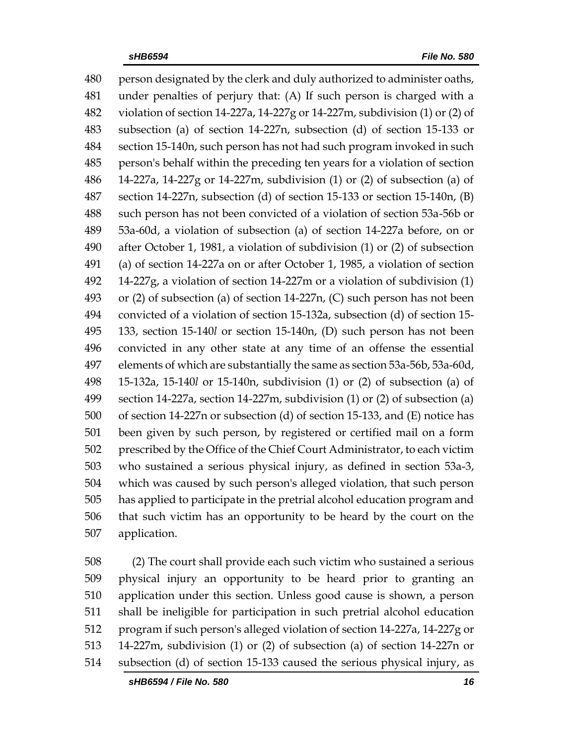person designated by the clerk and duly authorized to administer oaths, under penalties of perjury that: (A) If such person is charged with a violation of section 14-227a, 14-227g or 14-227m, subdivision (1) or (2) of subsection (a) of section 14-227n, subsection (d) of section 15-133 or section 15-140n, such person has not had such program invoked in such person's behalf within the preceding ten years for a violation of section 14-227a, 14-227g or 14-227m, subdivision (1) or (2) of subsection (a) of section 14-227n, subsection (d) of section 15-133 or section 15-140n, (B) such person has not been convicted of a violation of section 53a-56b or 53a-60d, a violation of subsection (a) of section 14-227a before, on or after October 1, 1981, a violation of subdivision (1) or (2) of subsection (a) of section 14-227a on or after October 1, 1985, a violation of section 14-227g, a violation of section 14-227m or a violation of subdivision (1) or (2) of subsection (a) of section 14-227n, (C) such person has not been convicted of a violation of section 15-132a, subsection (d) of section 15- 133, section 15-140*l* or section 15-140n, (D) such person has not been convicted in any other state at any time of an offense the essential elements of which are substantially the same as section 53a-56b, 53a-60d, 15-132a, 15-140*l* or 15-140n, subdivision (1) or (2) of subsection (a) of section 14-227a, section 14-227m, subdivision (1) or (2) of subsection (a) of section 14-227n or subsection (d) of section 15-133, and (E) notice has been given by such person, by registered or certified mail on a form prescribed by the Office of the Chief Court Administrator, to each victim who sustained a serious physical injury, as defined in section 53a-3, which was caused by such person's alleged violation, that such person has applied to participate in the pretrial alcohol education program and that such victim has an opportunity to be heard by the court on the application.

 (2) The court shall provide each such victim who sustained a serious physical injury an opportunity to be heard prior to granting an application under this section. Unless good cause is shown, a person shall be ineligible for participation in such pretrial alcohol education program if such person's alleged violation of section 14-227a, 14-227g or 14-227m, subdivision (1) or (2) of subsection (a) of section 14-227n or subsection (d) of section 15-133 caused the serious physical injury, as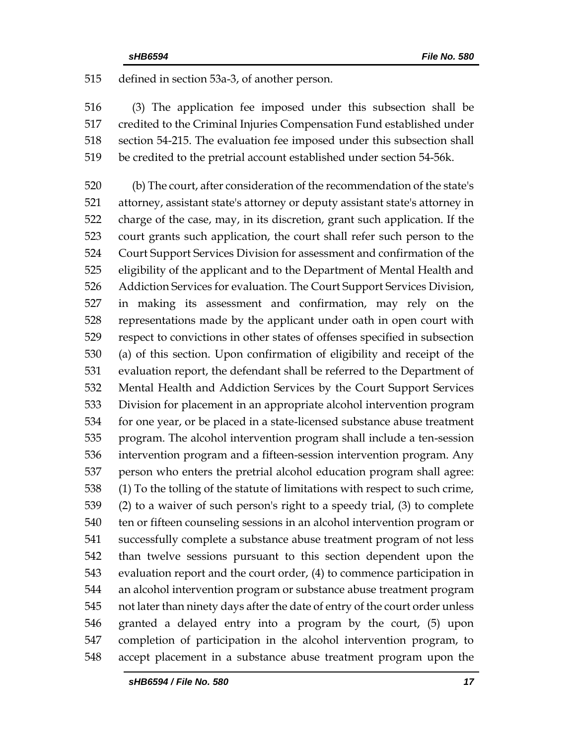defined in section 53a-3, of another person.

 (3) The application fee imposed under this subsection shall be credited to the Criminal Injuries Compensation Fund established under section 54-215. The evaluation fee imposed under this subsection shall be credited to the pretrial account established under section 54-56k.

 (b) The court, after consideration of the recommendation of the state's attorney, assistant state's attorney or deputy assistant state's attorney in charge of the case, may, in its discretion, grant such application. If the court grants such application, the court shall refer such person to the Court Support Services Division for assessment and confirmation of the eligibility of the applicant and to the Department of Mental Health and Addiction Services for evaluation. The Court Support Services Division, in making its assessment and confirmation, may rely on the representations made by the applicant under oath in open court with respect to convictions in other states of offenses specified in subsection (a) of this section. Upon confirmation of eligibility and receipt of the evaluation report, the defendant shall be referred to the Department of Mental Health and Addiction Services by the Court Support Services Division for placement in an appropriate alcohol intervention program for one year, or be placed in a state-licensed substance abuse treatment program. The alcohol intervention program shall include a ten-session intervention program and a fifteen-session intervention program. Any person who enters the pretrial alcohol education program shall agree: (1) To the tolling of the statute of limitations with respect to such crime, (2) to a waiver of such person's right to a speedy trial, (3) to complete ten or fifteen counseling sessions in an alcohol intervention program or successfully complete a substance abuse treatment program of not less than twelve sessions pursuant to this section dependent upon the evaluation report and the court order, (4) to commence participation in an alcohol intervention program or substance abuse treatment program not later than ninety days after the date of entry of the court order unless granted a delayed entry into a program by the court, (5) upon completion of participation in the alcohol intervention program, to accept placement in a substance abuse treatment program upon the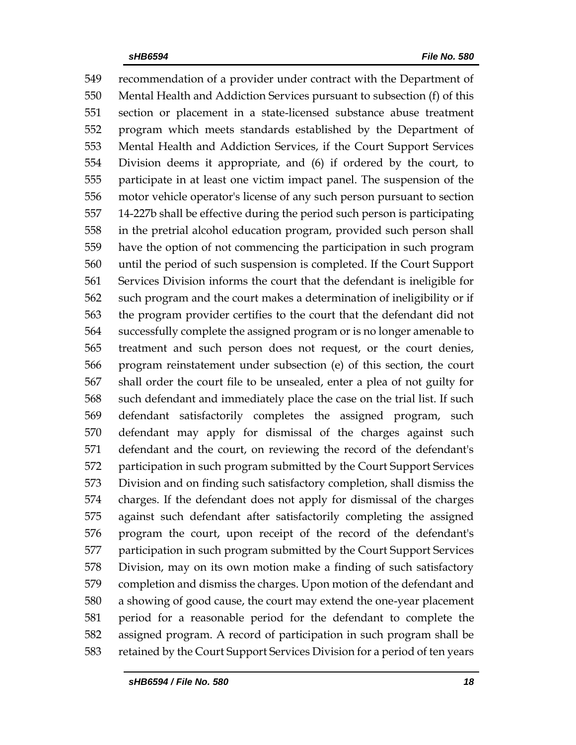recommendation of a provider under contract with the Department of Mental Health and Addiction Services pursuant to subsection (f) of this section or placement in a state-licensed substance abuse treatment program which meets standards established by the Department of Mental Health and Addiction Services, if the Court Support Services Division deems it appropriate, and (6) if ordered by the court, to participate in at least one victim impact panel. The suspension of the motor vehicle operator's license of any such person pursuant to section 14-227b shall be effective during the period such person is participating in the pretrial alcohol education program, provided such person shall have the option of not commencing the participation in such program until the period of such suspension is completed. If the Court Support Services Division informs the court that the defendant is ineligible for such program and the court makes a determination of ineligibility or if the program provider certifies to the court that the defendant did not successfully complete the assigned program or is no longer amenable to treatment and such person does not request, or the court denies, program reinstatement under subsection (e) of this section, the court shall order the court file to be unsealed, enter a plea of not guilty for such defendant and immediately place the case on the trial list. If such defendant satisfactorily completes the assigned program, such defendant may apply for dismissal of the charges against such defendant and the court, on reviewing the record of the defendant's participation in such program submitted by the Court Support Services Division and on finding such satisfactory completion, shall dismiss the charges. If the defendant does not apply for dismissal of the charges against such defendant after satisfactorily completing the assigned program the court, upon receipt of the record of the defendant's participation in such program submitted by the Court Support Services Division, may on its own motion make a finding of such satisfactory completion and dismiss the charges. Upon motion of the defendant and a showing of good cause, the court may extend the one-year placement period for a reasonable period for the defendant to complete the assigned program. A record of participation in such program shall be retained by the Court Support Services Division for a period of ten years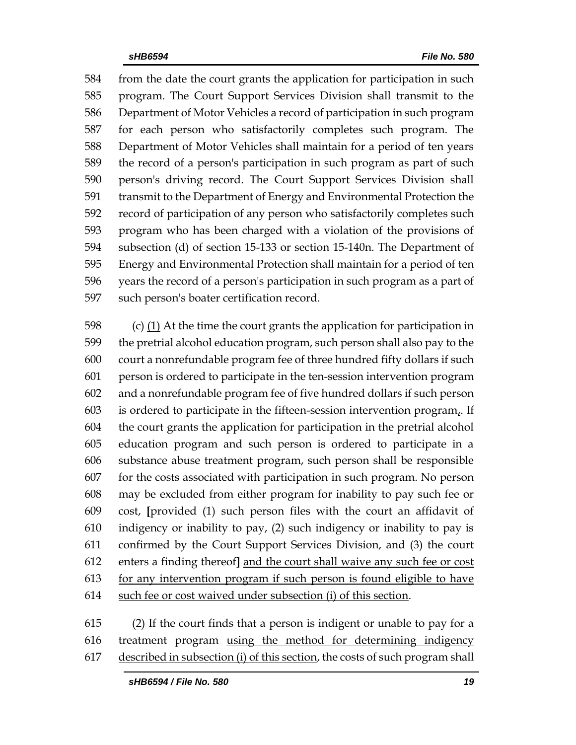from the date the court grants the application for participation in such program. The Court Support Services Division shall transmit to the Department of Motor Vehicles a record of participation in such program for each person who satisfactorily completes such program. The Department of Motor Vehicles shall maintain for a period of ten years the record of a person's participation in such program as part of such person's driving record. The Court Support Services Division shall transmit to the Department of Energy and Environmental Protection the record of participation of any person who satisfactorily completes such program who has been charged with a violation of the provisions of subsection (d) of section 15-133 or section 15-140n. The Department of Energy and Environmental Protection shall maintain for a period of ten years the record of a person's participation in such program as a part of such person's boater certification record.

 (c) (1) At the time the court grants the application for participation in the pretrial alcohol education program, such person shall also pay to the court a nonrefundable program fee of three hundred fifty dollars if such person is ordered to participate in the ten-session intervention program and a nonrefundable program fee of five hundred dollars if such person is ordered to participate in the fifteen-session intervention program,. If the court grants the application for participation in the pretrial alcohol education program and such person is ordered to participate in a substance abuse treatment program, such person shall be responsible for the costs associated with participation in such program. No person may be excluded from either program for inability to pay such fee or cost, **[**provided (1) such person files with the court an affidavit of indigency or inability to pay, (2) such indigency or inability to pay is confirmed by the Court Support Services Division, and (3) the court enters a finding thereof**]** and the court shall waive any such fee or cost for any intervention program if such person is found eligible to have such fee or cost waived under subsection (i) of this section.

 (2) If the court finds that a person is indigent or unable to pay for a treatment program using the method for determining indigency described in subsection (i) of this section, the costs of such program shall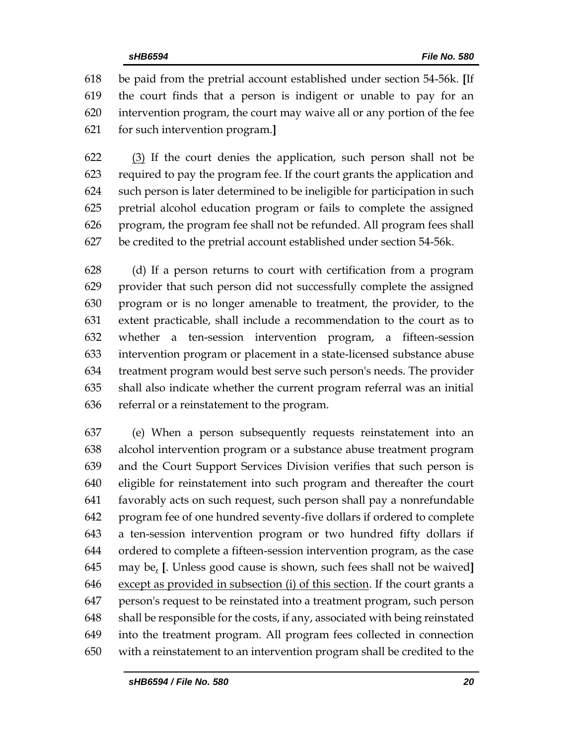be paid from the pretrial account established under section 54-56k. **[**If the court finds that a person is indigent or unable to pay for an intervention program, the court may waive all or any portion of the fee for such intervention program.**]**

 (3) If the court denies the application, such person shall not be required to pay the program fee. If the court grants the application and such person is later determined to be ineligible for participation in such pretrial alcohol education program or fails to complete the assigned program, the program fee shall not be refunded. All program fees shall be credited to the pretrial account established under section 54-56k.

 (d) If a person returns to court with certification from a program provider that such person did not successfully complete the assigned program or is no longer amenable to treatment, the provider, to the extent practicable, shall include a recommendation to the court as to whether a ten-session intervention program, a fifteen-session intervention program or placement in a state-licensed substance abuse treatment program would best serve such person's needs. The provider shall also indicate whether the current program referral was an initial referral or a reinstatement to the program.

 (e) When a person subsequently requests reinstatement into an alcohol intervention program or a substance abuse treatment program and the Court Support Services Division verifies that such person is eligible for reinstatement into such program and thereafter the court favorably acts on such request, such person shall pay a nonrefundable program fee of one hundred seventy-five dollars if ordered to complete a ten-session intervention program or two hundred fifty dollars if ordered to complete a fifteen-session intervention program, as the case may be, **[**. Unless good cause is shown, such fees shall not be waived**]** except as provided in subsection (i) of this section. If the court grants a person's request to be reinstated into a treatment program, such person shall be responsible for the costs, if any, associated with being reinstated into the treatment program. All program fees collected in connection with a reinstatement to an intervention program shall be credited to the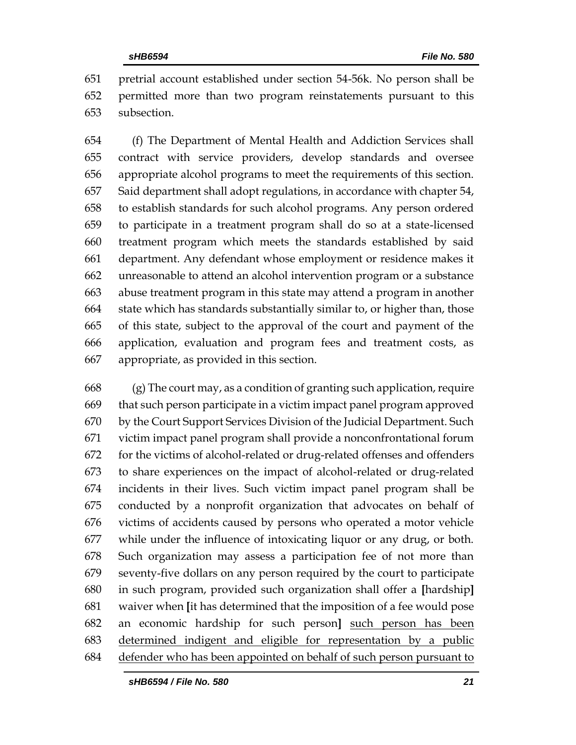pretrial account established under section 54-56k. No person shall be permitted more than two program reinstatements pursuant to this subsection.

 (f) The Department of Mental Health and Addiction Services shall contract with service providers, develop standards and oversee appropriate alcohol programs to meet the requirements of this section. Said department shall adopt regulations, in accordance with chapter 54, to establish standards for such alcohol programs. Any person ordered to participate in a treatment program shall do so at a state-licensed treatment program which meets the standards established by said department. Any defendant whose employment or residence makes it unreasonable to attend an alcohol intervention program or a substance abuse treatment program in this state may attend a program in another state which has standards substantially similar to, or higher than, those of this state, subject to the approval of the court and payment of the application, evaluation and program fees and treatment costs, as appropriate, as provided in this section.

 (g) The court may, as a condition of granting such application, require that such person participate in a victim impact panel program approved by the Court Support Services Division of the Judicial Department. Such victim impact panel program shall provide a nonconfrontational forum for the victims of alcohol-related or drug-related offenses and offenders to share experiences on the impact of alcohol-related or drug-related incidents in their lives. Such victim impact panel program shall be conducted by a nonprofit organization that advocates on behalf of victims of accidents caused by persons who operated a motor vehicle while under the influence of intoxicating liquor or any drug, or both. Such organization may assess a participation fee of not more than seventy-five dollars on any person required by the court to participate in such program, provided such organization shall offer a **[**hardship**]** waiver when **[**it has determined that the imposition of a fee would pose an economic hardship for such person**]** such person has been determined indigent and eligible for representation by a public defender who has been appointed on behalf of such person pursuant to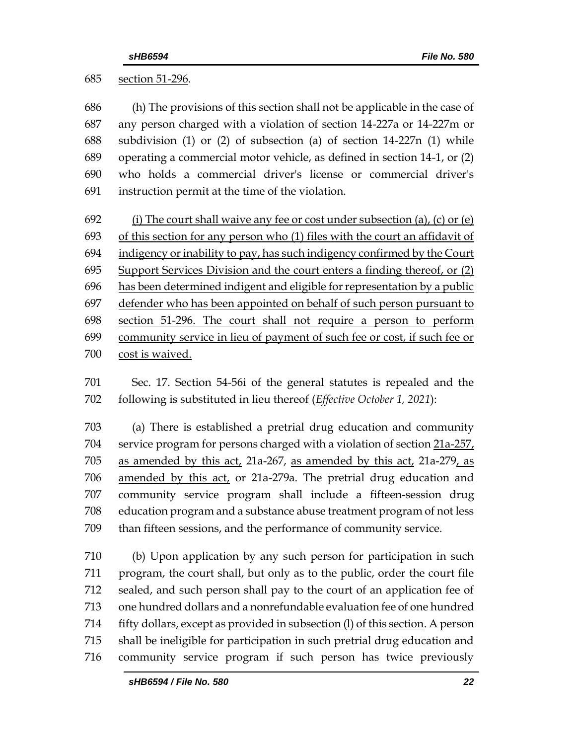section 51-296.

 (h) The provisions of this section shall not be applicable in the case of any person charged with a violation of section 14-227a or 14-227m or subdivision (1) or (2) of subsection (a) of section 14-227n (1) while operating a commercial motor vehicle, as defined in section 14-1, or (2) who holds a commercial driver's license or commercial driver's instruction permit at the time of the violation.

692 (i) The court shall waive any fee or cost under subsection (a), (c) or (e) 693 of this section for any person who (1) files with the court an affidavit of indigency or inability to pay, has such indigency confirmed by the Court Support Services Division and the court enters a finding thereof, or (2) has been determined indigent and eligible for representation by a public defender who has been appointed on behalf of such person pursuant to section 51-296. The court shall not require a person to perform community service in lieu of payment of such fee or cost, if such fee or cost is waived.

 Sec. 17. Section 54-56i of the general statutes is repealed and the following is substituted in lieu thereof (*Effective October 1, 2021*):

 (a) There is established a pretrial drug education and community 704 service program for persons charged with a violation of section 21a-257, as amended by this act, 21a-267, as amended by this act, 21a-279, as amended by this act, or 21a-279a. The pretrial drug education and community service program shall include a fifteen-session drug education program and a substance abuse treatment program of not less than fifteen sessions, and the performance of community service.

 (b) Upon application by any such person for participation in such program, the court shall, but only as to the public, order the court file sealed, and such person shall pay to the court of an application fee of one hundred dollars and a nonrefundable evaluation fee of one hundred 714 fifty dollars, except as provided in subsection (I) of this section. A person shall be ineligible for participation in such pretrial drug education and community service program if such person has twice previously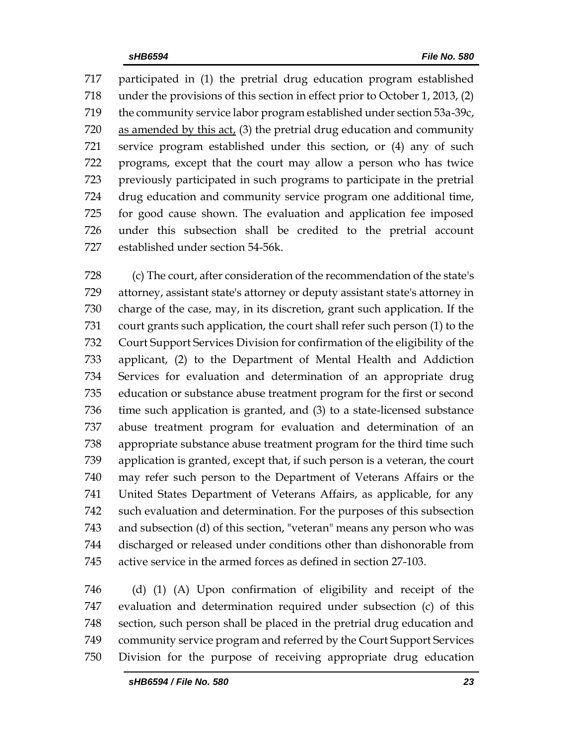participated in (1) the pretrial drug education program established under the provisions of this section in effect prior to October 1, 2013, (2) the community service labor program established under section 53a-39c, as amended by this act, (3) the pretrial drug education and community service program established under this section, or (4) any of such programs, except that the court may allow a person who has twice previously participated in such programs to participate in the pretrial drug education and community service program one additional time, for good cause shown. The evaluation and application fee imposed under this subsection shall be credited to the pretrial account established under section 54-56k.

 (c) The court, after consideration of the recommendation of the state's attorney, assistant state's attorney or deputy assistant state's attorney in charge of the case, may, in its discretion, grant such application. If the court grants such application, the court shall refer such person (1) to the Court Support Services Division for confirmation of the eligibility of the applicant, (2) to the Department of Mental Health and Addiction Services for evaluation and determination of an appropriate drug education or substance abuse treatment program for the first or second time such application is granted, and (3) to a state-licensed substance abuse treatment program for evaluation and determination of an appropriate substance abuse treatment program for the third time such application is granted, except that, if such person is a veteran, the court may refer such person to the Department of Veterans Affairs or the United States Department of Veterans Affairs, as applicable, for any such evaluation and determination. For the purposes of this subsection and subsection (d) of this section, "veteran" means any person who was discharged or released under conditions other than dishonorable from active service in the armed forces as defined in section 27-103.

 (d) (1) (A) Upon confirmation of eligibility and receipt of the evaluation and determination required under subsection (c) of this section, such person shall be placed in the pretrial drug education and community service program and referred by the Court Support Services Division for the purpose of receiving appropriate drug education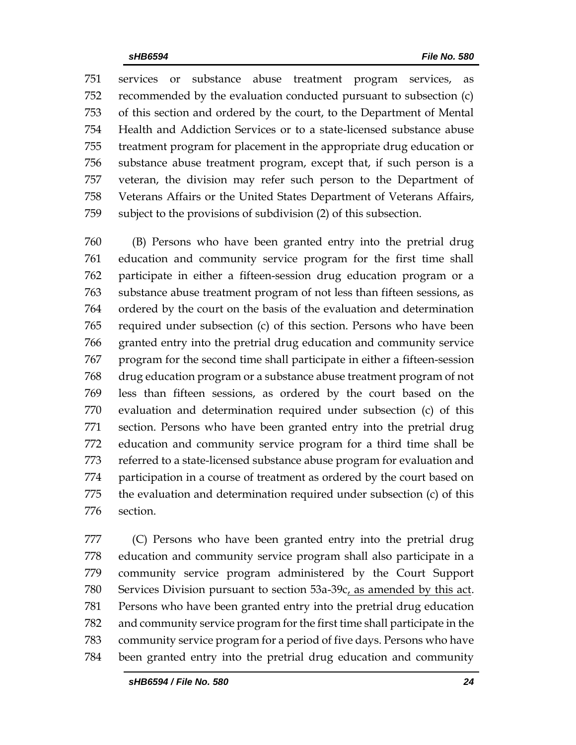services or substance abuse treatment program services, as recommended by the evaluation conducted pursuant to subsection (c) of this section and ordered by the court, to the Department of Mental Health and Addiction Services or to a state-licensed substance abuse treatment program for placement in the appropriate drug education or substance abuse treatment program, except that, if such person is a veteran, the division may refer such person to the Department of Veterans Affairs or the United States Department of Veterans Affairs, subject to the provisions of subdivision (2) of this subsection.

 (B) Persons who have been granted entry into the pretrial drug education and community service program for the first time shall participate in either a fifteen-session drug education program or a substance abuse treatment program of not less than fifteen sessions, as ordered by the court on the basis of the evaluation and determination required under subsection (c) of this section. Persons who have been granted entry into the pretrial drug education and community service program for the second time shall participate in either a fifteen-session drug education program or a substance abuse treatment program of not less than fifteen sessions, as ordered by the court based on the evaluation and determination required under subsection (c) of this section. Persons who have been granted entry into the pretrial drug education and community service program for a third time shall be referred to a state-licensed substance abuse program for evaluation and participation in a course of treatment as ordered by the court based on the evaluation and determination required under subsection (c) of this section.

 (C) Persons who have been granted entry into the pretrial drug education and community service program shall also participate in a community service program administered by the Court Support Services Division pursuant to section 53a-39c, as amended by this act. Persons who have been granted entry into the pretrial drug education and community service program for the first time shall participate in the community service program for a period of five days. Persons who have been granted entry into the pretrial drug education and community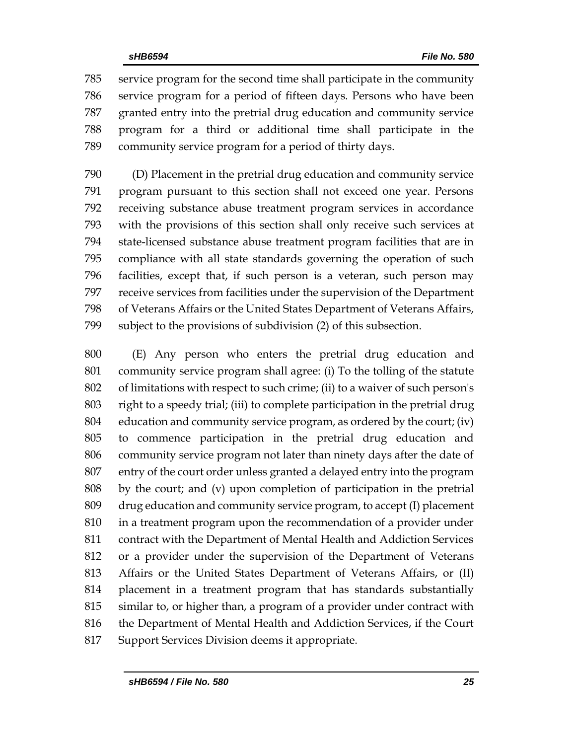service program for the second time shall participate in the community service program for a period of fifteen days. Persons who have been granted entry into the pretrial drug education and community service program for a third or additional time shall participate in the community service program for a period of thirty days.

 (D) Placement in the pretrial drug education and community service program pursuant to this section shall not exceed one year. Persons receiving substance abuse treatment program services in accordance with the provisions of this section shall only receive such services at state-licensed substance abuse treatment program facilities that are in compliance with all state standards governing the operation of such facilities, except that, if such person is a veteran, such person may receive services from facilities under the supervision of the Department of Veterans Affairs or the United States Department of Veterans Affairs, subject to the provisions of subdivision (2) of this subsection.

 (E) Any person who enters the pretrial drug education and community service program shall agree: (i) To the tolling of the statute of limitations with respect to such crime; (ii) to a waiver of such person's right to a speedy trial; (iii) to complete participation in the pretrial drug education and community service program, as ordered by the court; (iv) to commence participation in the pretrial drug education and community service program not later than ninety days after the date of entry of the court order unless granted a delayed entry into the program by the court; and (v) upon completion of participation in the pretrial drug education and community service program, to accept (I) placement in a treatment program upon the recommendation of a provider under contract with the Department of Mental Health and Addiction Services or a provider under the supervision of the Department of Veterans Affairs or the United States Department of Veterans Affairs, or (II) placement in a treatment program that has standards substantially similar to, or higher than, a program of a provider under contract with the Department of Mental Health and Addiction Services, if the Court Support Services Division deems it appropriate.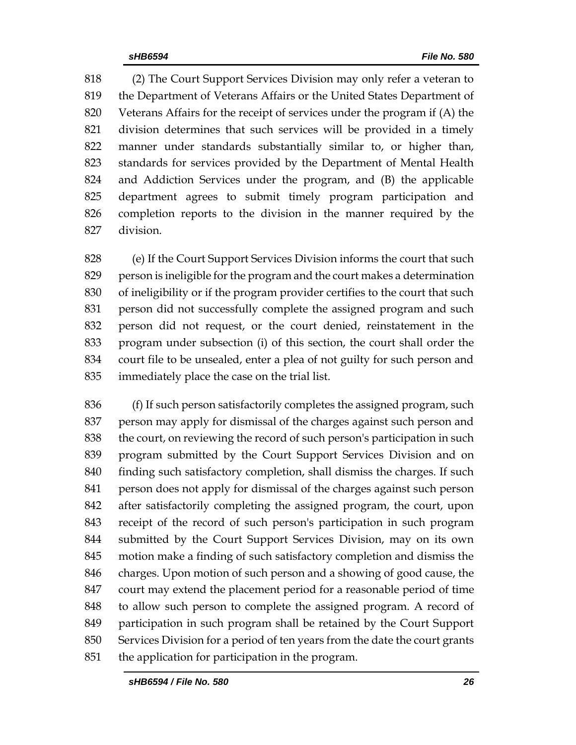(2) The Court Support Services Division may only refer a veteran to the Department of Veterans Affairs or the United States Department of Veterans Affairs for the receipt of services under the program if (A) the division determines that such services will be provided in a timely manner under standards substantially similar to, or higher than, standards for services provided by the Department of Mental Health and Addiction Services under the program, and (B) the applicable department agrees to submit timely program participation and completion reports to the division in the manner required by the division.

 (e) If the Court Support Services Division informs the court that such person is ineligible for the program and the court makes a determination of ineligibility or if the program provider certifies to the court that such person did not successfully complete the assigned program and such person did not request, or the court denied, reinstatement in the program under subsection (i) of this section, the court shall order the court file to be unsealed, enter a plea of not guilty for such person and immediately place the case on the trial list.

 (f) If such person satisfactorily completes the assigned program, such person may apply for dismissal of the charges against such person and the court, on reviewing the record of such person's participation in such program submitted by the Court Support Services Division and on finding such satisfactory completion, shall dismiss the charges. If such person does not apply for dismissal of the charges against such person after satisfactorily completing the assigned program, the court, upon receipt of the record of such person's participation in such program submitted by the Court Support Services Division, may on its own motion make a finding of such satisfactory completion and dismiss the charges. Upon motion of such person and a showing of good cause, the court may extend the placement period for a reasonable period of time to allow such person to complete the assigned program. A record of participation in such program shall be retained by the Court Support Services Division for a period of ten years from the date the court grants the application for participation in the program.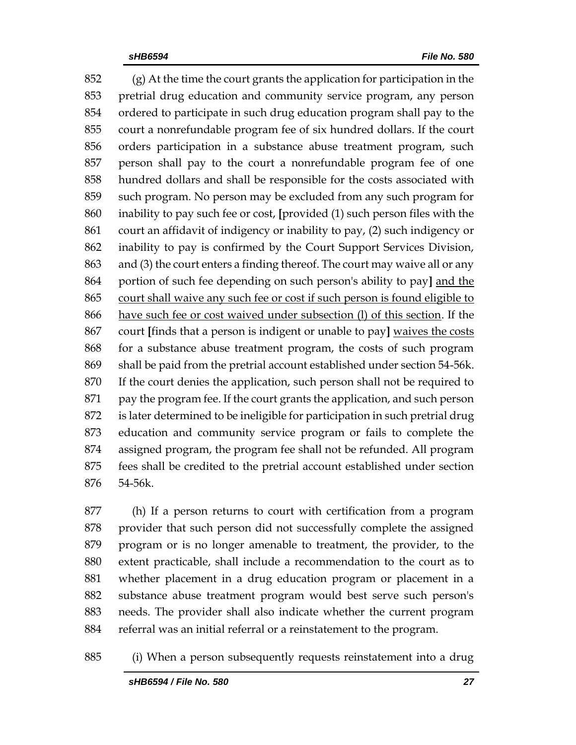(g) At the time the court grants the application for participation in the pretrial drug education and community service program, any person ordered to participate in such drug education program shall pay to the court a nonrefundable program fee of six hundred dollars. If the court orders participation in a substance abuse treatment program, such person shall pay to the court a nonrefundable program fee of one hundred dollars and shall be responsible for the costs associated with such program. No person may be excluded from any such program for inability to pay such fee or cost, **[**provided (1) such person files with the court an affidavit of indigency or inability to pay, (2) such indigency or inability to pay is confirmed by the Court Support Services Division, and (3) the court enters a finding thereof. The court may waive all or any portion of such fee depending on such person's ability to pay**]** and the court shall waive any such fee or cost if such person is found eligible to have such fee or cost waived under subsection (l) of this section. If the court **[**finds that a person is indigent or unable to pay**]** waives the costs for a substance abuse treatment program, the costs of such program shall be paid from the pretrial account established under section 54-56k. If the court denies the application, such person shall not be required to pay the program fee. If the court grants the application, and such person is later determined to be ineligible for participation in such pretrial drug education and community service program or fails to complete the assigned program, the program fee shall not be refunded. All program fees shall be credited to the pretrial account established under section 54-56k.

 (h) If a person returns to court with certification from a program provider that such person did not successfully complete the assigned program or is no longer amenable to treatment, the provider, to the extent practicable, shall include a recommendation to the court as to whether placement in a drug education program or placement in a substance abuse treatment program would best serve such person's needs. The provider shall also indicate whether the current program referral was an initial referral or a reinstatement to the program.

(i) When a person subsequently requests reinstatement into a drug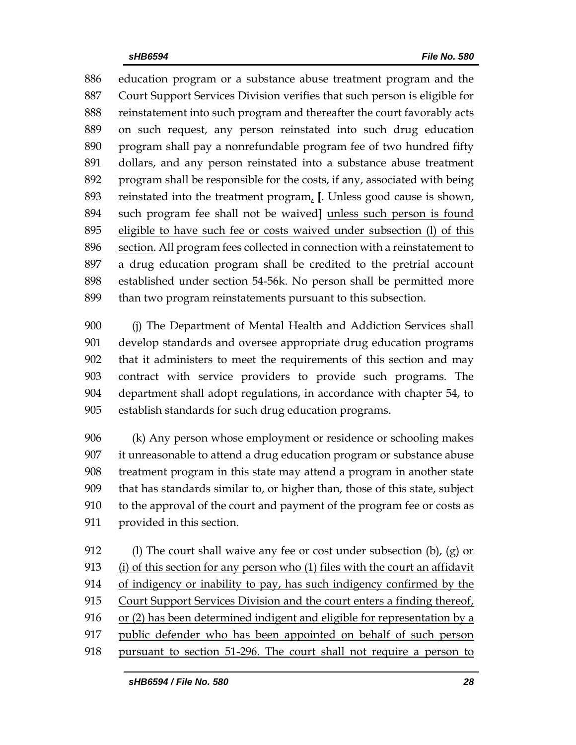education program or a substance abuse treatment program and the Court Support Services Division verifies that such person is eligible for reinstatement into such program and thereafter the court favorably acts on such request, any person reinstated into such drug education program shall pay a nonrefundable program fee of two hundred fifty dollars, and any person reinstated into a substance abuse treatment program shall be responsible for the costs, if any, associated with being reinstated into the treatment program, **[**. Unless good cause is shown, such program fee shall not be waived**]** unless such person is found eligible to have such fee or costs waived under subsection (l) of this section. All program fees collected in connection with a reinstatement to a drug education program shall be credited to the pretrial account established under section 54-56k. No person shall be permitted more than two program reinstatements pursuant to this subsection.

 (j) The Department of Mental Health and Addiction Services shall develop standards and oversee appropriate drug education programs that it administers to meet the requirements of this section and may contract with service providers to provide such programs. The department shall adopt regulations, in accordance with chapter 54, to establish standards for such drug education programs.

 (k) Any person whose employment or residence or schooling makes it unreasonable to attend a drug education program or substance abuse treatment program in this state may attend a program in another state that has standards similar to, or higher than, those of this state, subject to the approval of the court and payment of the program fee or costs as provided in this section.

912 (l) The court shall waive any fee or cost under subsection (b), (g) or (i) of this section for any person who (1) files with the court an affidavit of indigency or inability to pay, has such indigency confirmed by the Court Support Services Division and the court enters a finding thereof, or (2) has been determined indigent and eligible for representation by a public defender who has been appointed on behalf of such person pursuant to section 51-296. The court shall not require a person to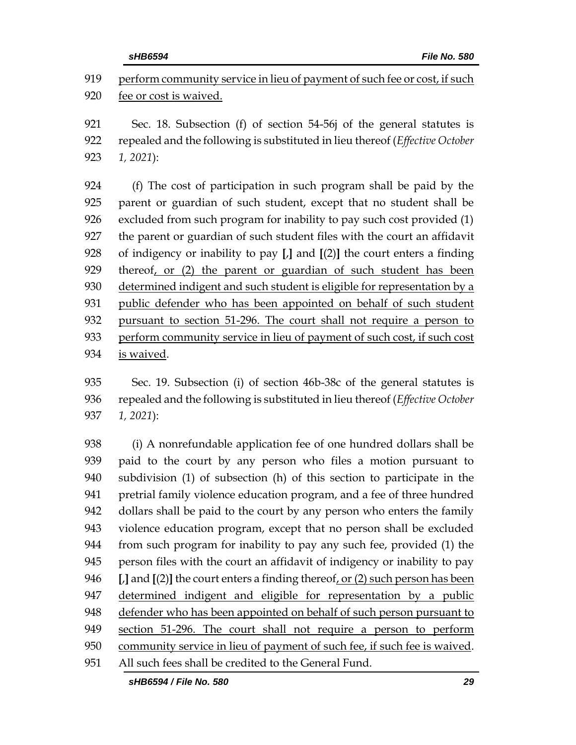perform community service in lieu of payment of such fee or cost, if such fee or cost is waived. Sec. 18. Subsection (f) of section 54-56j of the general statutes is repealed and the following is substituted in lieu thereof (*Effective October 1, 2021*): (f) The cost of participation in such program shall be paid by the parent or guardian of such student, except that no student shall be

 excluded from such program for inability to pay such cost provided (1) the parent or guardian of such student files with the court an affidavit of indigency or inability to pay **[**,**]** and **[**(2)**]** the court enters a finding thereof, or (2) the parent or guardian of such student has been 930 determined indigent and such student is eligible for representation by a public defender who has been appointed on behalf of such student pursuant to section 51-296. The court shall not require a person to perform community service in lieu of payment of such cost, if such cost is waived.

 Sec. 19. Subsection (i) of section 46b-38c of the general statutes is repealed and the following is substituted in lieu thereof (*Effective October 1, 2021*):

 (i) A nonrefundable application fee of one hundred dollars shall be paid to the court by any person who files a motion pursuant to subdivision (1) of subsection (h) of this section to participate in the pretrial family violence education program, and a fee of three hundred dollars shall be paid to the court by any person who enters the family violence education program, except that no person shall be excluded from such program for inability to pay any such fee, provided (1) the person files with the court an affidavit of indigency or inability to pay **[**,**]** and **[**(2)**]** the court enters a finding thereof, or (2) such person has been determined indigent and eligible for representation by a public defender who has been appointed on behalf of such person pursuant to section 51-296. The court shall not require a person to perform 950 community service in lieu of payment of such fee, if such fee is waived. All such fees shall be credited to the General Fund.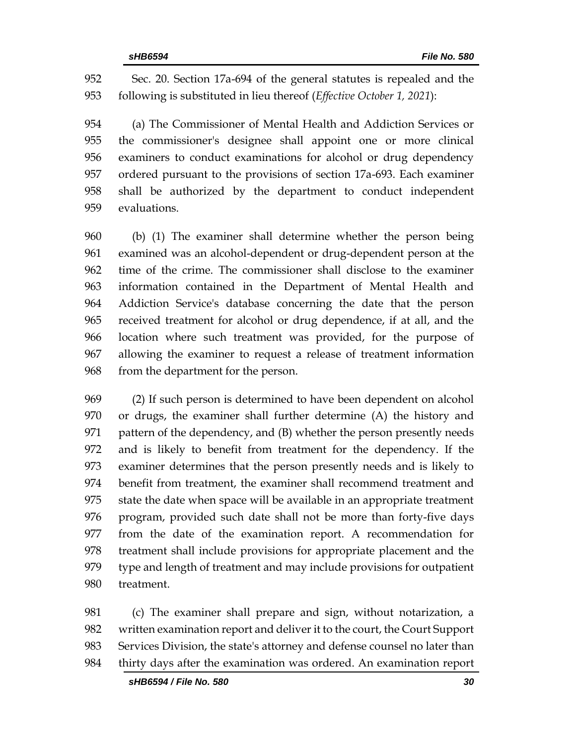Sec. 20. Section 17a-694 of the general statutes is repealed and the following is substituted in lieu thereof (*Effective October 1, 2021*):

 (a) The Commissioner of Mental Health and Addiction Services or the commissioner's designee shall appoint one or more clinical examiners to conduct examinations for alcohol or drug dependency ordered pursuant to the provisions of section 17a-693. Each examiner shall be authorized by the department to conduct independent evaluations.

 (b) (1) The examiner shall determine whether the person being examined was an alcohol-dependent or drug-dependent person at the time of the crime. The commissioner shall disclose to the examiner information contained in the Department of Mental Health and Addiction Service's database concerning the date that the person received treatment for alcohol or drug dependence, if at all, and the location where such treatment was provided, for the purpose of allowing the examiner to request a release of treatment information from the department for the person.

 (2) If such person is determined to have been dependent on alcohol or drugs, the examiner shall further determine (A) the history and pattern of the dependency, and (B) whether the person presently needs and is likely to benefit from treatment for the dependency. If the examiner determines that the person presently needs and is likely to benefit from treatment, the examiner shall recommend treatment and state the date when space will be available in an appropriate treatment program, provided such date shall not be more than forty-five days from the date of the examination report. A recommendation for treatment shall include provisions for appropriate placement and the type and length of treatment and may include provisions for outpatient treatment.

 (c) The examiner shall prepare and sign, without notarization, a written examination report and deliver it to the court, the Court Support Services Division, the state's attorney and defense counsel no later than thirty days after the examination was ordered. An examination report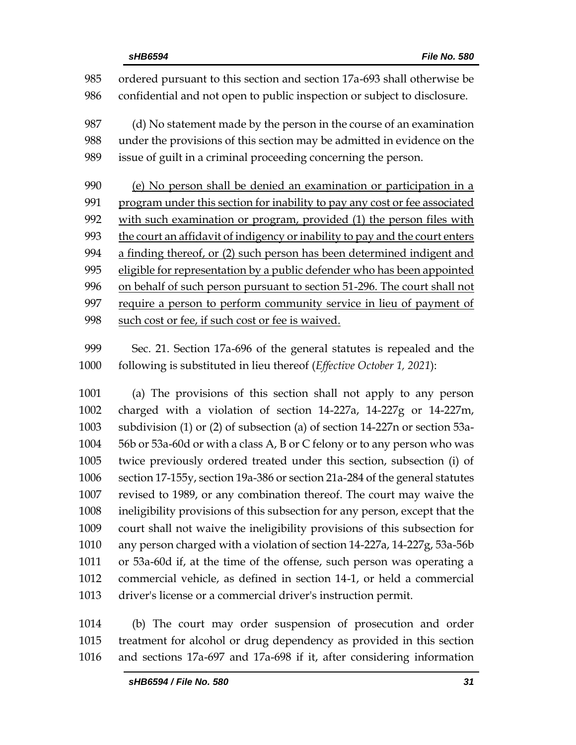ordered pursuant to this section and section 17a-693 shall otherwise be confidential and not open to public inspection or subject to disclosure. (d) No statement made by the person in the course of an examination under the provisions of this section may be admitted in evidence on the issue of guilt in a criminal proceeding concerning the person. (e) No person shall be denied an examination or participation in a program under this section for inability to pay any cost or fee associated with such examination or program, provided (1) the person files with 993 the court an affidavit of indigency or inability to pay and the court enters a finding thereof, or (2) such person has been determined indigent and 995 eligible for representation by a public defender who has been appointed on behalf of such person pursuant to section 51-296. The court shall not require a person to perform community service in lieu of payment of 998 such cost or fee, if such cost or fee is waived.

 Sec. 21. Section 17a-696 of the general statutes is repealed and the following is substituted in lieu thereof (*Effective October 1, 2021*):

 (a) The provisions of this section shall not apply to any person charged with a violation of section 14-227a, 14-227g or 14-227m, subdivision (1) or (2) of subsection (a) of section 14-227n or section 53a- 56b or 53a-60d or with a class A, B or C felony or to any person who was twice previously ordered treated under this section, subsection (i) of section 17-155y, section 19a-386 or section 21a-284 of the general statutes revised to 1989, or any combination thereof. The court may waive the ineligibility provisions of this subsection for any person, except that the court shall not waive the ineligibility provisions of this subsection for any person charged with a violation of section 14-227a, 14-227g, 53a-56b or 53a-60d if, at the time of the offense, such person was operating a commercial vehicle, as defined in section 14-1, or held a commercial driver's license or a commercial driver's instruction permit.

 (b) The court may order suspension of prosecution and order treatment for alcohol or drug dependency as provided in this section and sections 17a-697 and 17a-698 if it, after considering information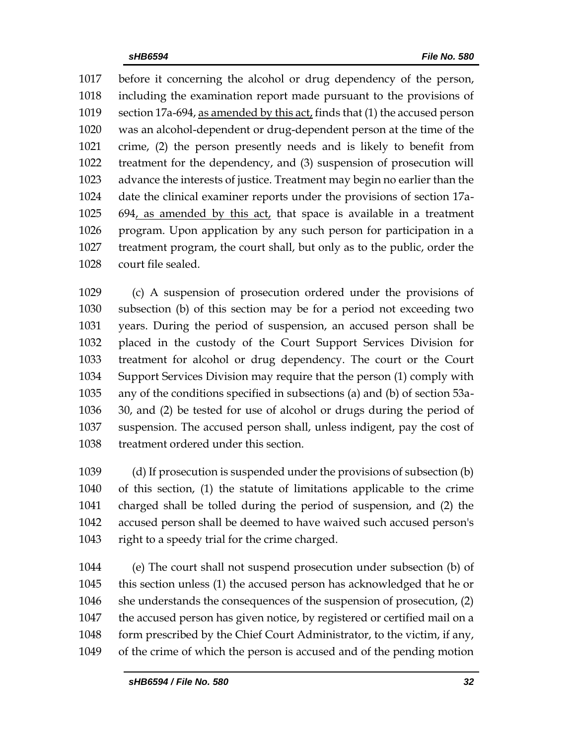before it concerning the alcohol or drug dependency of the person, including the examination report made pursuant to the provisions of section 17a-694, as amended by this act, finds that (1) the accused person was an alcohol-dependent or drug-dependent person at the time of the crime, (2) the person presently needs and is likely to benefit from treatment for the dependency, and (3) suspension of prosecution will advance the interests of justice. Treatment may begin no earlier than the date the clinical examiner reports under the provisions of section 17a- 694, as amended by this act, that space is available in a treatment program. Upon application by any such person for participation in a treatment program, the court shall, but only as to the public, order the court file sealed.

 (c) A suspension of prosecution ordered under the provisions of subsection (b) of this section may be for a period not exceeding two years. During the period of suspension, an accused person shall be placed in the custody of the Court Support Services Division for treatment for alcohol or drug dependency. The court or the Court Support Services Division may require that the person (1) comply with any of the conditions specified in subsections (a) and (b) of section 53a- 30, and (2) be tested for use of alcohol or drugs during the period of suspension. The accused person shall, unless indigent, pay the cost of treatment ordered under this section.

 (d) If prosecution is suspended under the provisions of subsection (b) of this section, (1) the statute of limitations applicable to the crime charged shall be tolled during the period of suspension, and (2) the accused person shall be deemed to have waived such accused person's right to a speedy trial for the crime charged.

 (e) The court shall not suspend prosecution under subsection (b) of this section unless (1) the accused person has acknowledged that he or she understands the consequences of the suspension of prosecution, (2) the accused person has given notice, by registered or certified mail on a form prescribed by the Chief Court Administrator, to the victim, if any, of the crime of which the person is accused and of the pending motion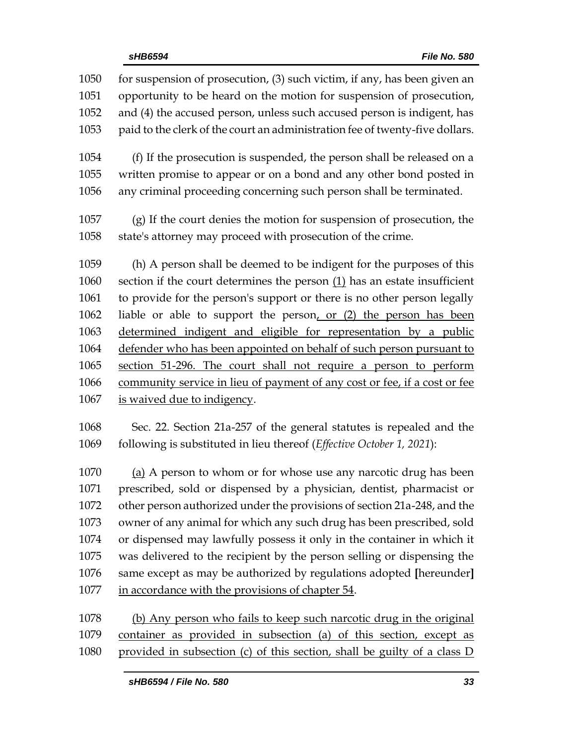| 1050<br>1051<br>1052<br>1053 | for suspension of prosecution, (3) such victim, if any, has been given an<br>opportunity to be heard on the motion for suspension of prosecution,<br>and (4) the accused person, unless such accused person is indigent, has<br>paid to the clerk of the court an administration fee of twenty-five dollars. |
|------------------------------|--------------------------------------------------------------------------------------------------------------------------------------------------------------------------------------------------------------------------------------------------------------------------------------------------------------|
| 1054<br>1055<br>1056         | (f) If the prosecution is suspended, the person shall be released on a<br>written promise to appear or on a bond and any other bond posted in<br>any criminal proceeding concerning such person shall be terminated.                                                                                         |
| 1057<br>1058                 | (g) If the court denies the motion for suspension of prosecution, the<br>state's attorney may proceed with prosecution of the crime.                                                                                                                                                                         |
| 1059                         | (h) A person shall be deemed to be indigent for the purposes of this                                                                                                                                                                                                                                         |
| 1060                         | section if the court determines the person $(1)$ has an estate insufficient                                                                                                                                                                                                                                  |
| 1061                         | to provide for the person's support or there is no other person legally                                                                                                                                                                                                                                      |
| 1062                         | liable or able to support the person, or (2) the person has been                                                                                                                                                                                                                                             |
| 1063                         | determined indigent and eligible for representation by a public                                                                                                                                                                                                                                              |
| 1064                         | defender who has been appointed on behalf of such person pursuant to                                                                                                                                                                                                                                         |
| 1065                         | section 51-296. The court shall not require a person to perform                                                                                                                                                                                                                                              |
| 1066                         | community service in lieu of payment of any cost or fee, if a cost or fee                                                                                                                                                                                                                                    |
| 1067                         | is waived due to indigency.                                                                                                                                                                                                                                                                                  |
| 1068                         | Sec. 22. Section 21a-257 of the general statutes is repealed and the                                                                                                                                                                                                                                         |

 (a) A person to whom or for whose use any narcotic drug has been prescribed, sold or dispensed by a physician, dentist, pharmacist or other person authorized under the provisions of section 21a-248, and the owner of any animal for which any such drug has been prescribed, sold or dispensed may lawfully possess it only in the container in which it was delivered to the recipient by the person selling or dispensing the same except as may be authorized by regulations adopted **[**hereunder**]** in accordance with the provisions of chapter 54.

following is substituted in lieu thereof (*Effective October 1, 2021*):

 (b) Any person who fails to keep such narcotic drug in the original container as provided in subsection (a) of this section, except as provided in subsection (c) of this section, shall be guilty of a class D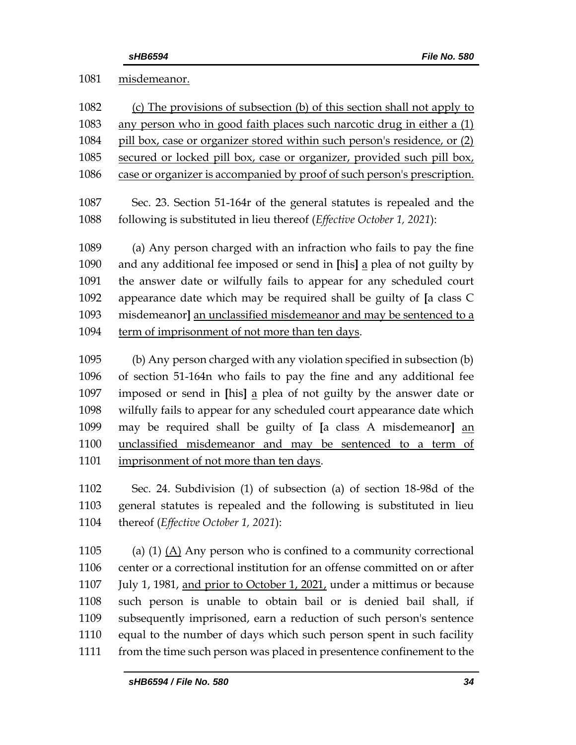## misdemeanor.

| 1082 | (c) The provisions of subsection (b) of this section shall not apply to   |
|------|---------------------------------------------------------------------------|
| 1083 | any person who in good faith places such narcotic drug in either a (1)    |
| 1084 | pill box, case or organizer stored within such person's residence, or (2) |
| 1085 | secured or locked pill box, case or organizer, provided such pill box,    |
| 1086 | case or organizer is accompanied by proof of such person's prescription.  |
| 1087 | Sec. 23. Section 51-164r of the general statutes is repealed and the      |
| 1088 | following is substituted in lieu thereof (Effective October 1, 2021):     |
| 1089 | (a) Any person charged with an infraction who fails to pay the fine       |
| 1090 | and any additional fee imposed or send in [his] a plea of not guilty by   |
| 1091 | the answer date or wilfully fails to appear for any scheduled court       |
| 1092 | appearance date which may be required shall be guilty of [a class C       |
| 1093 | misdemeanor] an unclassified misdemeanor and may be sentenced to a        |
| 1094 | term of imprisonment of not more than ten days.                           |
| 1095 | (b) Any person charged with any violation specified in subsection (b)     |
| 1096 | of section 51-164n who fails to pay the fine and any additional fee       |
| 1097 | imposed or send in [his] a plea of not guilty by the answer date or       |
| 1098 | wilfully fails to appear for any scheduled court appearance date which    |

 may be required shall be guilty of **[**a class A misdemeanor**]** an unclassified misdemeanor and may be sentenced to a term of imprisonment of not more than ten days.

 Sec. 24. Subdivision (1) of subsection (a) of section 18-98d of the general statutes is repealed and the following is substituted in lieu thereof (*Effective October 1, 2021*):

1105 (a) (1)  $(A)$  Any person who is confined to a community correctional center or a correctional institution for an offense committed on or after July 1, 1981, and prior to October 1, 2021, under a mittimus or because such person is unable to obtain bail or is denied bail shall, if subsequently imprisoned, earn a reduction of such person's sentence equal to the number of days which such person spent in such facility from the time such person was placed in presentence confinement to the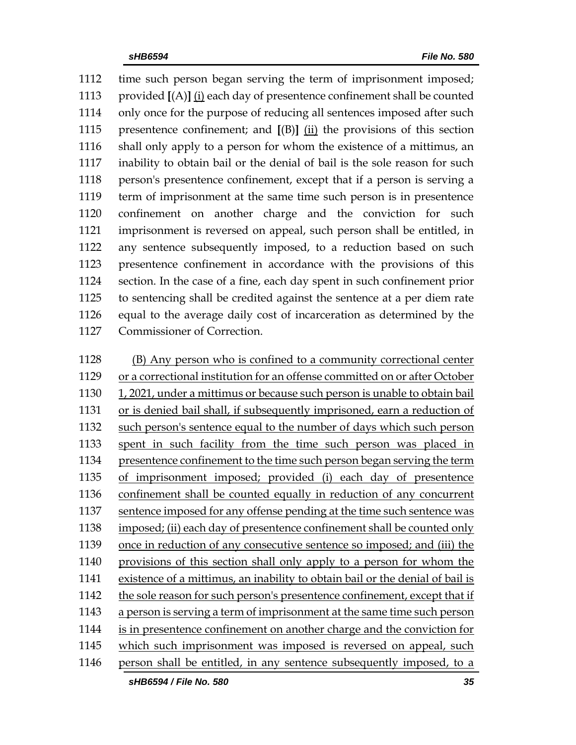time such person began serving the term of imprisonment imposed; provided **[**(A)**]** (i) each day of presentence confinement shall be counted only once for the purpose of reducing all sentences imposed after such presentence confinement; and **[**(B)**]** (ii) the provisions of this section shall only apply to a person for whom the existence of a mittimus, an inability to obtain bail or the denial of bail is the sole reason for such person's presentence confinement, except that if a person is serving a term of imprisonment at the same time such person is in presentence confinement on another charge and the conviction for such imprisonment is reversed on appeal, such person shall be entitled, in any sentence subsequently imposed, to a reduction based on such presentence confinement in accordance with the provisions of this section. In the case of a fine, each day spent in such confinement prior to sentencing shall be credited against the sentence at a per diem rate equal to the average daily cost of incarceration as determined by the Commissioner of Correction.

 (B) Any person who is confined to a community correctional center or a correctional institution for an offense committed on or after October 1, 2021, under a mittimus or because such person is unable to obtain bail or is denied bail shall, if subsequently imprisoned, earn a reduction of such person's sentence equal to the number of days which such person spent in such facility from the time such person was placed in presentence confinement to the time such person began serving the term of imprisonment imposed; provided (i) each day of presentence confinement shall be counted equally in reduction of any concurrent sentence imposed for any offense pending at the time such sentence was imposed; (ii) each day of presentence confinement shall be counted only once in reduction of any consecutive sentence so imposed; and (iii) the provisions of this section shall only apply to a person for whom the existence of a mittimus, an inability to obtain bail or the denial of bail is the sole reason for such person's presentence confinement, except that if a person is serving a term of imprisonment at the same time such person is in presentence confinement on another charge and the conviction for 1145 which such imprisonment was imposed is reversed on appeal, such person shall be entitled, in any sentence subsequently imposed, to a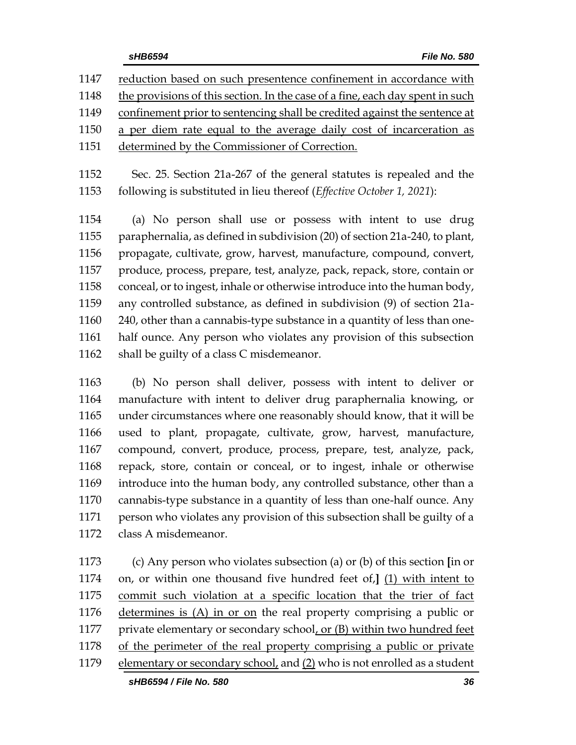|  | sHB6594 |  |  |
|--|---------|--|--|

| 1147 | reduction based on such presentence confinement in accordance with            |
|------|-------------------------------------------------------------------------------|
| 1148 | the provisions of this section. In the case of a fine, each day spent in such |
| 1149 | confinement prior to sentencing shall be credited against the sentence at     |
| 1150 | a per diem rate equal to the average daily cost of incarceration as           |
| 1151 | determined by the Commissioner of Correction.                                 |
|      |                                                                               |

 Sec. 25. Section 21a-267 of the general statutes is repealed and the following is substituted in lieu thereof (*Effective October 1, 2021*):

 (a) No person shall use or possess with intent to use drug paraphernalia, as defined in subdivision (20) of section 21a-240, to plant, propagate, cultivate, grow, harvest, manufacture, compound, convert, produce, process, prepare, test, analyze, pack, repack, store, contain or conceal, or to ingest, inhale or otherwise introduce into the human body, any controlled substance, as defined in subdivision (9) of section 21a- 240, other than a cannabis-type substance in a quantity of less than one- half ounce. Any person who violates any provision of this subsection 1162 shall be guilty of a class C misdemeanor.

 (b) No person shall deliver, possess with intent to deliver or manufacture with intent to deliver drug paraphernalia knowing, or under circumstances where one reasonably should know, that it will be used to plant, propagate, cultivate, grow, harvest, manufacture, compound, convert, produce, process, prepare, test, analyze, pack, repack, store, contain or conceal, or to ingest, inhale or otherwise introduce into the human body, any controlled substance, other than a cannabis-type substance in a quantity of less than one-half ounce. Any person who violates any provision of this subsection shall be guilty of a class A misdemeanor.

 (c) Any person who violates subsection (a) or (b) of this section **[**in or on, or within one thousand five hundred feet of,**]** (1) with intent to commit such violation at a specific location that the trier of fact determines is (A) in or on the real property comprising a public or 1177 private elementary or secondary school, or (B) within two hundred feet 1178 of the perimeter of the real property comprising a public or private elementary or secondary school, and (2) who is not enrolled as a student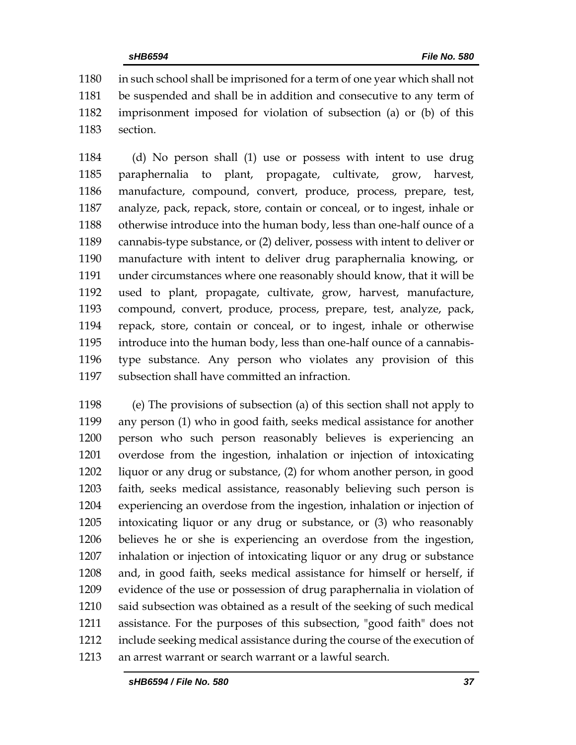in such school shall be imprisoned for a term of one year which shall not be suspended and shall be in addition and consecutive to any term of imprisonment imposed for violation of subsection (a) or (b) of this section.

 (d) No person shall (1) use or possess with intent to use drug paraphernalia to plant, propagate, cultivate, grow, harvest, manufacture, compound, convert, produce, process, prepare, test, analyze, pack, repack, store, contain or conceal, or to ingest, inhale or otherwise introduce into the human body, less than one-half ounce of a cannabis-type substance, or (2) deliver, possess with intent to deliver or manufacture with intent to deliver drug paraphernalia knowing, or under circumstances where one reasonably should know, that it will be used to plant, propagate, cultivate, grow, harvest, manufacture, compound, convert, produce, process, prepare, test, analyze, pack, repack, store, contain or conceal, or to ingest, inhale or otherwise introduce into the human body, less than one-half ounce of a cannabis- type substance. Any person who violates any provision of this subsection shall have committed an infraction.

 (e) The provisions of subsection (a) of this section shall not apply to any person (1) who in good faith, seeks medical assistance for another person who such person reasonably believes is experiencing an overdose from the ingestion, inhalation or injection of intoxicating liquor or any drug or substance, (2) for whom another person, in good faith, seeks medical assistance, reasonably believing such person is experiencing an overdose from the ingestion, inhalation or injection of intoxicating liquor or any drug or substance, or (3) who reasonably believes he or she is experiencing an overdose from the ingestion, inhalation or injection of intoxicating liquor or any drug or substance and, in good faith, seeks medical assistance for himself or herself, if evidence of the use or possession of drug paraphernalia in violation of said subsection was obtained as a result of the seeking of such medical assistance. For the purposes of this subsection, "good faith" does not include seeking medical assistance during the course of the execution of an arrest warrant or search warrant or a lawful search.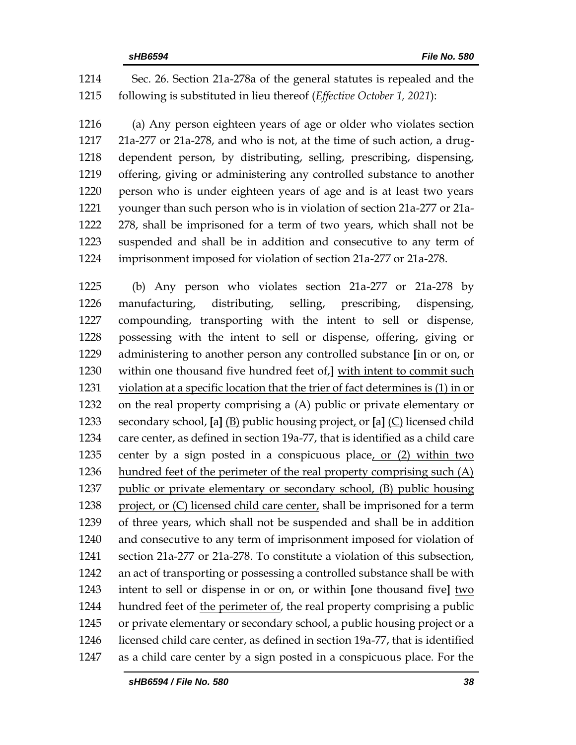Sec. 26. Section 21a-278a of the general statutes is repealed and the following is substituted in lieu thereof (*Effective October 1, 2021*):

 (a) Any person eighteen years of age or older who violates section 21a-277 or 21a-278, and who is not, at the time of such action, a drug- dependent person, by distributing, selling, prescribing, dispensing, offering, giving or administering any controlled substance to another person who is under eighteen years of age and is at least two years younger than such person who is in violation of section 21a-277 or 21a- 278, shall be imprisoned for a term of two years, which shall not be suspended and shall be in addition and consecutive to any term of imprisonment imposed for violation of section 21a-277 or 21a-278.

 (b) Any person who violates section 21a-277 or 21a-278 by manufacturing, distributing, selling, prescribing, dispensing, compounding, transporting with the intent to sell or dispense, possessing with the intent to sell or dispense, offering, giving or administering to another person any controlled substance **[**in or on, or within one thousand five hundred feet of,**]** with intent to commit such violation at a specific location that the trier of fact determines is (1) in or on the real property comprising a (A) public or private elementary or secondary school, **[**a**]** (B) public housing project, or **[**a**]** (C) licensed child care center, as defined in section 19a-77, that is identified as a child care center by a sign posted in a conspicuous place, or (2) within two hundred feet of the perimeter of the real property comprising such (A) public or private elementary or secondary school, (B) public housing project, or (C) licensed child care center, shall be imprisoned for a term of three years, which shall not be suspended and shall be in addition and consecutive to any term of imprisonment imposed for violation of section 21a-277 or 21a-278. To constitute a violation of this subsection, an act of transporting or possessing a controlled substance shall be with intent to sell or dispense in or on, or within **[**one thousand five**]** two 1244 hundred feet of the perimeter of, the real property comprising a public or private elementary or secondary school, a public housing project or a licensed child care center, as defined in section 19a-77, that is identified as a child care center by a sign posted in a conspicuous place. For the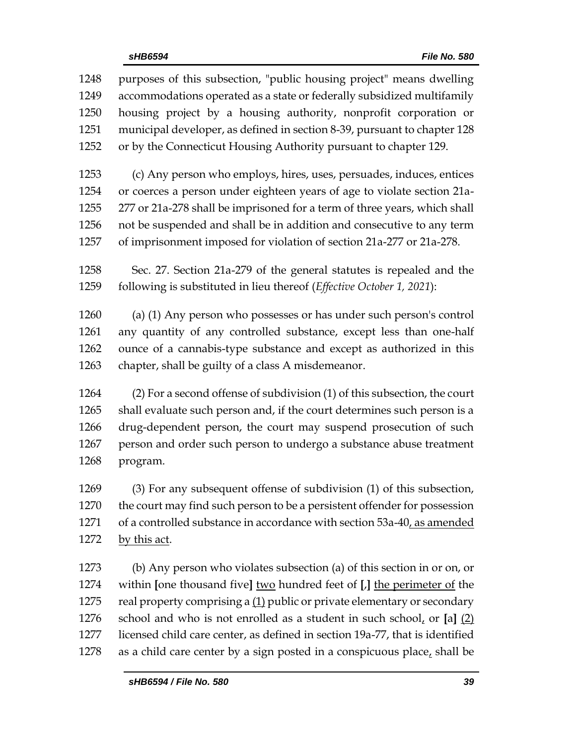| 1248 | purposes of this subsection, "public housing project" means dwelling         |
|------|------------------------------------------------------------------------------|
| 1249 | accommodations operated as a state or federally subsidized multifamily       |
| 1250 | housing project by a housing authority, nonprofit corporation or             |
| 1251 | municipal developer, as defined in section 8-39, pursuant to chapter 128     |
| 1252 | or by the Connecticut Housing Authority pursuant to chapter 129.             |
| 1253 | (c) Any person who employs, hires, uses, persuades, induces, entices         |
| 1254 | or coerces a person under eighteen years of age to violate section 21a-      |
| 1255 | 277 or 21a-278 shall be imprisoned for a term of three years, which shall    |
| 1256 | not be suspended and shall be in addition and consecutive to any term        |
| 1257 | of imprisonment imposed for violation of section 21a-277 or 21a-278.         |
| 1258 | Sec. 27. Section 21a-279 of the general statutes is repealed and the         |
| 1259 | following is substituted in lieu thereof (Effective October 1, 2021):        |
| 1260 | (a) (1) Any person who possesses or has under such person's control          |
| 1261 | any quantity of any controlled substance, except less than one-half          |
| 1262 | ounce of a cannabis-type substance and except as authorized in this          |
| 1263 | chapter, shall be guilty of a class A misdemeanor.                           |
| 1264 | (2) For a second offense of subdivision (1) of this subsection, the court    |
| 1265 | shall evaluate such person and, if the court determines such person is a     |
| 1266 | drug-dependent person, the court may suspend prosecution of such             |
| 1267 | person and order such person to undergo a substance abuse treatment          |
| 1268 | program.                                                                     |
| 1269 | (3) For any subsequent offense of subdivision (1) of this subsection,        |
| 1270 | the court may find such person to be a persistent offender for possession    |
| 1271 | of a controlled substance in accordance with section 53a-40, as amended      |
| 1272 | by this act.                                                                 |
| 1273 | (b) Any person who violates subsection (a) of this section in or on, or      |
| 1274 | within [one thousand five] two hundred feet of [J] the perimeter of the      |
| 1275 | real property comprising a (1) public or private elementary or secondary     |
| 1276 | school and who is not enrolled as a student in such school, or $[a]$ $(2)$   |
| 1277 | licensed child care center, as defined in section 19a-77, that is identified |
| 1278 | as a child care center by a sign posted in a conspicuous place, shall be     |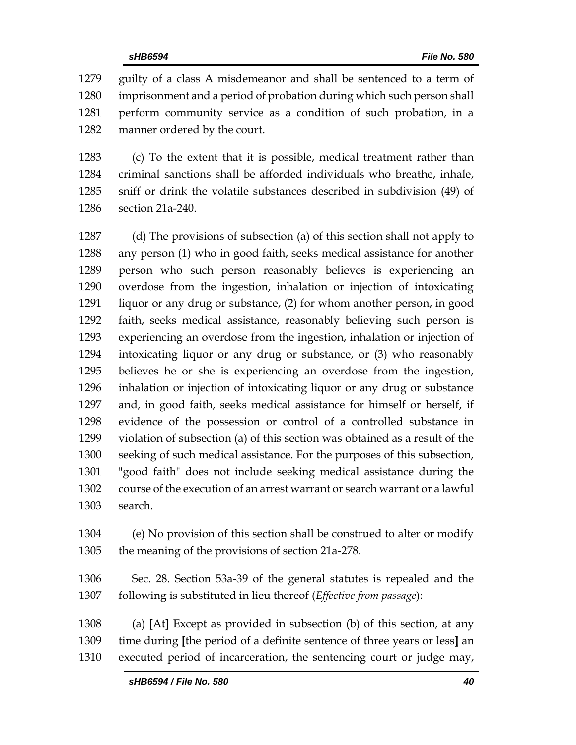guilty of a class A misdemeanor and shall be sentenced to a term of imprisonment and a period of probation during which such person shall perform community service as a condition of such probation, in a manner ordered by the court.

 (c) To the extent that it is possible, medical treatment rather than criminal sanctions shall be afforded individuals who breathe, inhale, sniff or drink the volatile substances described in subdivision (49) of section 21a-240.

 (d) The provisions of subsection (a) of this section shall not apply to any person (1) who in good faith, seeks medical assistance for another person who such person reasonably believes is experiencing an overdose from the ingestion, inhalation or injection of intoxicating liquor or any drug or substance, (2) for whom another person, in good faith, seeks medical assistance, reasonably believing such person is experiencing an overdose from the ingestion, inhalation or injection of intoxicating liquor or any drug or substance, or (3) who reasonably believes he or she is experiencing an overdose from the ingestion, inhalation or injection of intoxicating liquor or any drug or substance and, in good faith, seeks medical assistance for himself or herself, if evidence of the possession or control of a controlled substance in violation of subsection (a) of this section was obtained as a result of the seeking of such medical assistance. For the purposes of this subsection, "good faith" does not include seeking medical assistance during the course of the execution of an arrest warrant or search warrant or a lawful search.

 (e) No provision of this section shall be construed to alter or modify the meaning of the provisions of section 21a-278.

 Sec. 28. Section 53a-39 of the general statutes is repealed and the following is substituted in lieu thereof (*Effective from passage*):

 (a) **[**At**]** Except as provided in subsection (b) of this section, at any time during **[**the period of a definite sentence of three years or less**]** an executed period of incarceration, the sentencing court or judge may,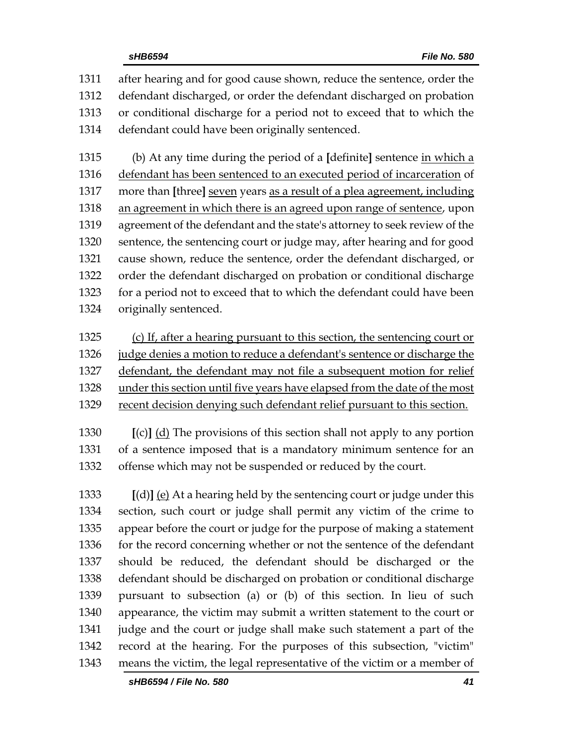after hearing and for good cause shown, reduce the sentence, order the defendant discharged, or order the defendant discharged on probation or conditional discharge for a period not to exceed that to which the defendant could have been originally sentenced.

 (b) At any time during the period of a **[**definite**]** sentence in which a 1316 defendant has been sentenced to an executed period of incarceration of more than **[**three**]** seven years as a result of a plea agreement, including an agreement in which there is an agreed upon range of sentence, upon agreement of the defendant and the state's attorney to seek review of the sentence, the sentencing court or judge may, after hearing and for good cause shown, reduce the sentence, order the defendant discharged, or order the defendant discharged on probation or conditional discharge for a period not to exceed that to which the defendant could have been originally sentenced.

 (c) If, after a hearing pursuant to this section, the sentencing court or judge denies a motion to reduce a defendant's sentence or discharge the defendant, the defendant may not file a subsequent motion for relief under this section until five years have elapsed from the date of the most

recent decision denying such defendant relief pursuant to this section.

 **[**(c)**]** (d) The provisions of this section shall not apply to any portion of a sentence imposed that is a mandatory minimum sentence for an offense which may not be suspended or reduced by the court.

 **[**(d)**]** (e) At a hearing held by the sentencing court or judge under this section, such court or judge shall permit any victim of the crime to appear before the court or judge for the purpose of making a statement 1336 for the record concerning whether or not the sentence of the defendant should be reduced, the defendant should be discharged or the defendant should be discharged on probation or conditional discharge pursuant to subsection (a) or (b) of this section. In lieu of such appearance, the victim may submit a written statement to the court or judge and the court or judge shall make such statement a part of the record at the hearing. For the purposes of this subsection, "victim" means the victim, the legal representative of the victim or a member of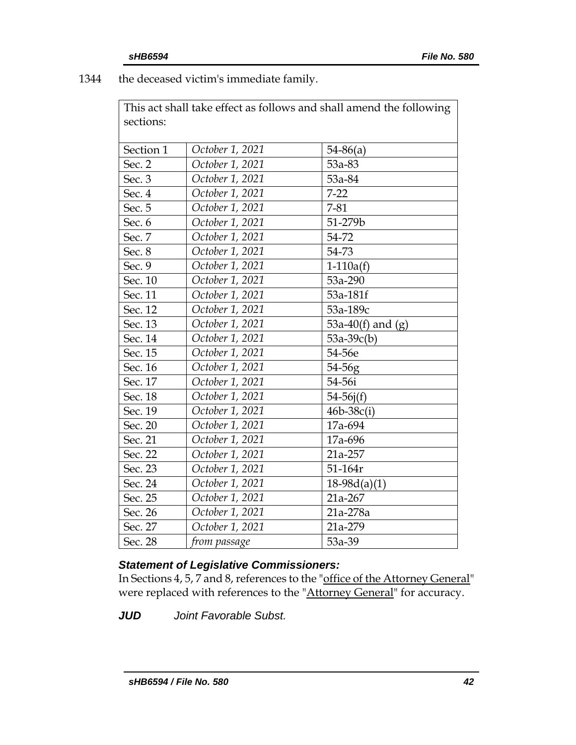1344 the deceased victim's immediate family.

This act shall take effect as follows and shall amend the following sections:

| Section 1 | October 1, 2021 | $54 - 86(a)$        |
|-----------|-----------------|---------------------|
| Sec. 2    | October 1, 2021 | 53a-83              |
| Sec. 3    | October 1, 2021 | 53a-84              |
| Sec. 4    | October 1, 2021 | $7 - 22$            |
| Sec. 5    | October 1, 2021 | $7 - 81$            |
| Sec. 6    | October 1, 2021 | 51-279b             |
| Sec. 7    | October 1, 2021 | 54-72               |
| Sec. 8    | October 1, 2021 | 54-73               |
| Sec. 9    | October 1, 2021 | $1-110a(f)$         |
| Sec. 10   | October 1, 2021 | 53a-290             |
| Sec. 11   | October 1, 2021 | 53a-181f            |
| Sec. 12   | October 1, 2021 | 53a-189c            |
| Sec. 13   | October 1, 2021 | 53a-40(f) and $(g)$ |
| Sec. 14   | October 1, 2021 | $53a-39c(b)$        |
| Sec. 15   | October 1, 2021 | 54-56e              |
| Sec. 16   | October 1, 2021 | 54-56g              |
| Sec. 17   | October 1, 2021 | 54-56i              |
| Sec. 18   | October 1, 2021 | $54-56j(f)$         |
| Sec. 19   | October 1, 2021 | $46b - 38c(i)$      |
| Sec. 20   | October 1, 2021 | 17a-694             |
| Sec. 21   | October 1, 2021 | 17a-696             |
| Sec. 22   | October 1, 2021 | 21a-257             |
| Sec. 23   | October 1, 2021 | 51-164r             |
| Sec. 24   | October 1, 2021 | $18-98d(a)(1)$      |
| Sec. 25   | October 1, 2021 | 21a-267             |
| Sec. 26   | October 1, 2021 | 21a-278a            |
| Sec. 27   | October 1, 2021 | 21a-279             |
| Sec. 28   | from passage    | 53a-39              |
|           |                 |                     |

# *Statement of Legislative Commissioners:*

In Sections 4, 5, 7 and 8, references to the "office of the Attorney General" were replaced with references to the "Attorney General" for accuracy.

*JUD Joint Favorable Subst.*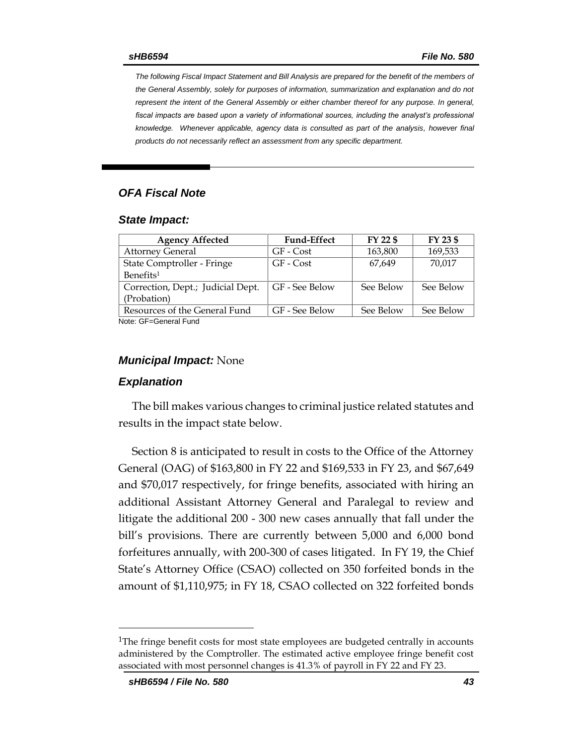*The following Fiscal Impact Statement and Bill Analysis are prepared for the benefit of the members of the General Assembly, solely for purposes of information, summarization and explanation and do not represent the intent of the General Assembly or either chamber thereof for any purpose. In general,*  fiscal impacts are based upon a variety of informational sources, including the analyst's professional *knowledge. Whenever applicable, agency data is consulted as part of the analysis, however final products do not necessarily reflect an assessment from any specific department.*

## *OFA Fiscal Note*

### *State Impact:*

| <b>Agency Affected</b>            | <b>Fund-Effect</b> | FY 22 \$  | FY 23 \$  |
|-----------------------------------|--------------------|-----------|-----------|
| <b>Attorney General</b>           | GF - Cost          | 163,800   | 169,533   |
| State Comptroller - Fringe        | GF - Cost          | 67.649    | 70,017    |
| Benefits <sup>1</sup>             |                    |           |           |
| Correction, Dept.; Judicial Dept. | GF - See Below     | See Below | See Below |
| (Probation)                       |                    |           |           |
| Resources of the General Fund     | GF - See Below     | See Below | See Below |
| Note: CE-Ceneral Fund             |                    |           |           |

Note: GF=General Fund

### *Municipal Impact:* None

## *Explanation*

The bill makes various changes to criminal justice related statutes and results in the impact state below.

Section 8 is anticipated to result in costs to the Office of the Attorney General (OAG) of \$163,800 in FY 22 and \$169,533 in FY 23, and \$67,649 and \$70,017 respectively, for fringe benefits, associated with hiring an additional Assistant Attorney General and Paralegal to review and litigate the additional 200 - 300 new cases annually that fall under the bill's provisions. There are currently between 5,000 and 6,000 bond forfeitures annually, with 200-300 of cases litigated. In FY 19, the Chief State's Attorney Office (CSAO) collected on 350 forfeited bonds in the amount of \$1,110,975; in FY 18, CSAO collected on 322 forfeited bonds

 $\overline{a}$ 

 $1$ The fringe benefit costs for most state employees are budgeted centrally in accounts administered by the Comptroller. The estimated active employee fringe benefit cost associated with most personnel changes is 41.3% of payroll in FY 22 and FY 23.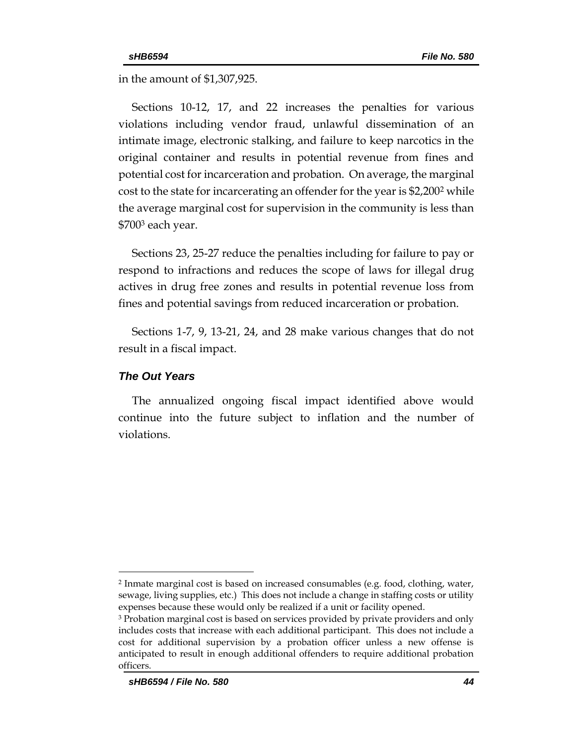in the amount of \$1,307,925.

Sections 10-12, 17, and 22 increases the penalties for various violations including vendor fraud, unlawful dissemination of an intimate image, electronic stalking, and failure to keep narcotics in the original container and results in potential revenue from fines and potential cost for incarceration and probation. On average, the marginal cost to the state for incarcerating an offender for the year is \$2,200<sup>2</sup> while the average marginal cost for supervision in the community is less than \$700<sup>3</sup> each year.

Sections 23, 25-27 reduce the penalties including for failure to pay or respond to infractions and reduces the scope of laws for illegal drug actives in drug free zones and results in potential revenue loss from fines and potential savings from reduced incarceration or probation.

Sections 1-7, 9, 13-21, 24, and 28 make various changes that do not result in a fiscal impact.

### *The Out Years*

 $\overline{a}$ 

The annualized ongoing fiscal impact identified above would continue into the future subject to inflation and the number of violations.

<sup>2</sup> Inmate marginal cost is based on increased consumables (e.g. food, clothing, water, sewage, living supplies, etc.) This does not include a change in staffing costs or utility expenses because these would only be realized if a unit or facility opened.

<sup>3</sup> Probation marginal cost is based on services provided by private providers and only includes costs that increase with each additional participant. This does not include a cost for additional supervision by a probation officer unless a new offense is anticipated to result in enough additional offenders to require additional probation officers.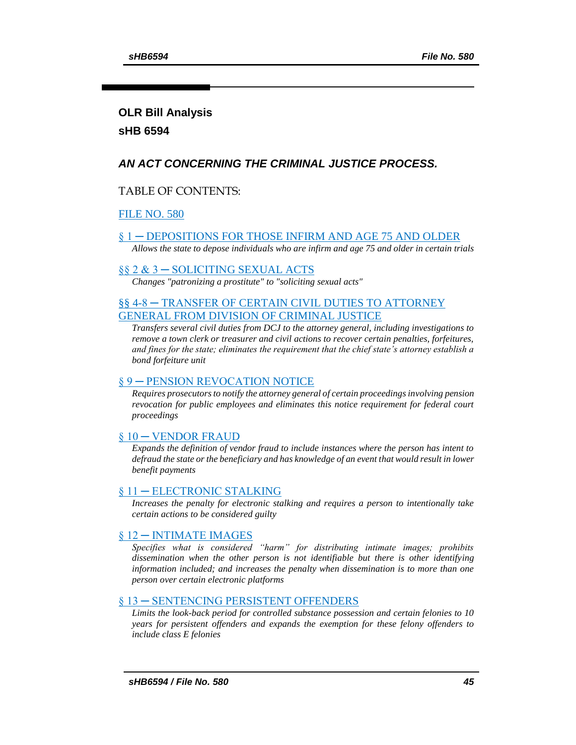# **OLR Bill Analysis sHB 6594**

## *AN ACT CONCERNING THE CRIMINAL JUSTICE PROCESS.*

## TABLE OF CONTENTS:

## [FILE NO. 580](#page-0-0)

## [§ 1 ─ DEPOSITIONS FOR THOSE INFIRM AND AGE 75 AND OLDER](#page-45-0)

*[Allows the state to depose individuals who are infirm and age 75 and older in certain trials](#page-45-1)*

## [§§ 2 & 3 ─ SOLICITING SEXUAL ACTS](#page-45-2)

*[Changes "patronizing a prostitute" to "soliciting sexual acts"](#page-45-3)*

## §§ 4-8 ─ TRANSFER OF [CERTAIN CIVIL DUTIES TO ATTORNEY](#page-46-0)  [GENERAL FROM DIVISION OF CRIMINAL JUSTICE](#page-46-0)

*[Transfers several civil duties from DCJ to the attorney general, including investigations to](#page-46-1)  [remove a town clerk or treasurer and civil actions to recover certain penalties, forfeitures,](#page-46-1)  [and fines for the state; eliminates the requirement that the chief state's attorney establish a](#page-46-1)  [bond forfeiture unit](#page-46-1)*

## [§ 9 ─ PENSION REVOCATION NOTICE](#page-46-2)

*[Requires prosecutors to notify the attorney general of certain proceedings involving pension](#page-47-0)  [revocation for public employees and eliminates this notice requirement for federal court](#page-47-0)  [proceedings](#page-47-0)*

## [§ 10 ─ VENDOR FRAUD](#page-47-1)

*[Expands the definition of vendor fraud to include instances where the person has intent to](#page-47-2)  [defraud the state or the beneficiary and has knowledge of an event that would result in lower](#page-47-2)  [benefit payments](#page-47-2)*

## § 11 – ELECTRONIC STALKING

*[Increases the penalty for electronic stalking and requires a person to intentionally take](#page-47-3)  [certain actions to be considered guilty](#page-47-3)*

## [§ 12 ─ INTIMATE IMAGES](#page-48-0)

*[Specifies what is considered "harm" for distributing intimate images; prohibits](#page-48-1)  [dissemination when the other person is not identifiable but there is other identifying](#page-48-1)  information included; and increases the penalty when dissemination is to more than one [person over certain electronic platforms](#page-48-1)*

## [§ 13 ─ SENTENCING PERSISTENT OFFENDERS](#page-50-0)

*[Limits the look-back period for controlled substance possession and certain felonies to 10](#page-50-1)  years for persistent offenders [and expands the exemption for these felony offenders to](#page-50-1)  [include class E felonies](#page-50-1)*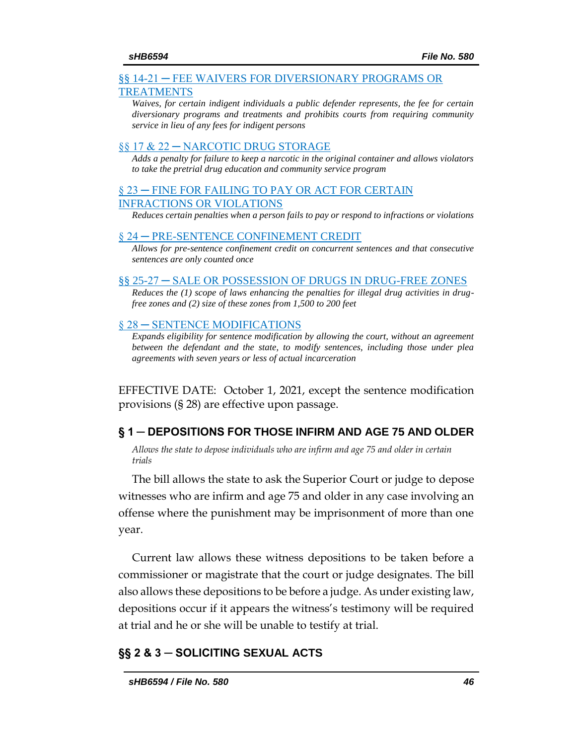### <span id="page-45-3"></span>[§§ 14-21 ─ FEE WAIVERS FOR DIVERSIONARY PROGRAMS OR](#page-50-2)  [TREATMENTS](#page-50-2)

*[Waives, for certain indigent individuals a public defender represents, the fee for certain](#page-50-3)  [diversionary programs and treatments and prohibits courts from requiring community](#page-50-3)  [service in lieu of any fees for indigent persons](#page-50-3)*

### [§§ 17 & 22 ─ NARCOTIC DRUG STORAGE](#page-51-0)

*[Adds a penalty for failure to keep a narcotic in the original container and allows violators](#page-51-1)  [to take the pretrial drug education and community service program](#page-51-1)*

## [§ 23 ─ FINE FOR FAILING TO PAY OR ACT FOR CERTAIN](#page-52-0)  [INFRACTIONS OR VIOLATIONS](#page-52-0)

*[Reduces certain penalties when a person fails to pay or respond to infractions or violations](#page-52-1)*

### [§ 24 ─ PRE-SENTENCE CONFINEMENT CREDIT](#page-53-0)

*[Allows for pre-sentence confinement credit on concurrent sentences and that consecutive](#page-53-1)  [sentences are only counted once](#page-53-1)*

### [§§ 25-27 ─ SALE OR POSSESSION OF DRUGS IN DRUG-FREE ZONES](#page-53-2)

*[Reduces the \(1\) scope of laws enhancing the penalties for illegal drug activities in drug](#page-54-0)[free zones and \(2\) size of these zones from 1,500 to 200 feet](#page-54-0)*

### § 28 – SENTENCE MODIFICATIONS

*[Expands eligibility for sentence modification by allowing the court, without an agreement](#page-55-1)  between the defendant and the state, to modify sentences, including those under plea [agreements with seven years or less of actual incarceration](#page-55-1)*

EFFECTIVE DATE: October 1, 2021, except the sentence modification provisions (§ 28) are effective upon passage.

## <span id="page-45-0"></span>**§ 1 ─ DEPOSITIONS FOR THOSE INFIRM AND AGE 75 AND OLDER**

<span id="page-45-1"></span>*Allows the state to depose individuals who are infirm and age 75 and older in certain trials* 

The bill allows the state to ask the Superior Court or judge to depose witnesses who are infirm and age 75 and older in any case involving an offense where the punishment may be imprisonment of more than one year.

Current law allows these witness depositions to be taken before a commissioner or magistrate that the court or judge designates. The bill also allows these depositions to be before a judge. As under existing law, depositions occur if it appears the witness's testimony will be required at trial and he or she will be unable to testify at trial.

## <span id="page-45-2"></span>**§§ 2 & 3 ─ SOLICITING SEXUAL ACTS**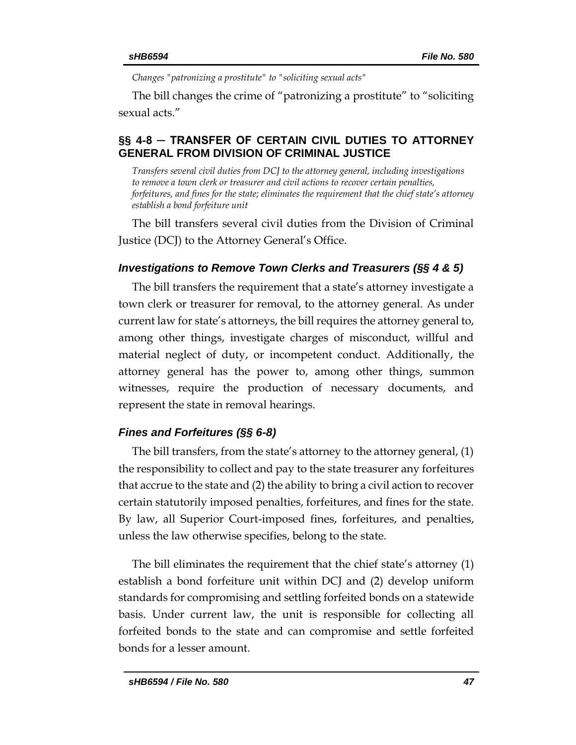*Changes "patronizing a prostitute" to "soliciting sexual acts"*

<span id="page-46-2"></span>The bill changes the crime of "patronizing a prostitute" to "soliciting sexual acts."

## <span id="page-46-0"></span>**§§ 4-8 ─ TRANSFER OF CERTAIN CIVIL DUTIES TO ATTORNEY GENERAL FROM DIVISION OF CRIMINAL JUSTICE**

<span id="page-46-1"></span>*Transfers several civil duties from DCJ to the attorney general, including investigations to remove a town clerk or treasurer and civil actions to recover certain penalties, forfeitures, and fines for the state; eliminates the requirement that the chief state's attorney establish a bond forfeiture unit*

The bill transfers several civil duties from the Division of Criminal Justice (DCJ) to the Attorney General's Office.

## *Investigations to Remove Town Clerks and Treasurers (§§ 4 & 5)*

The bill transfers the requirement that a state's attorney investigate a town clerk or treasurer for removal, to the attorney general. As under current law for state's attorneys, the bill requires the attorney general to, among other things, investigate charges of misconduct, willful and material neglect of duty, or incompetent conduct. Additionally, the attorney general has the power to, among other things, summon witnesses, require the production of necessary documents, and represent the state in removal hearings.

## *Fines and Forfeitures (§§ 6-8)*

The bill transfers, from the state's attorney to the attorney general, (1) the responsibility to collect and pay to the state treasurer any forfeitures that accrue to the state and (2) the ability to bring a civil action to recover certain statutorily imposed penalties, forfeitures, and fines for the state. By law, all Superior Court-imposed fines, forfeitures, and penalties, unless the law otherwise specifies, belong to the state.

The bill eliminates the requirement that the chief state's attorney (1) establish a bond forfeiture unit within DCJ and (2) develop uniform standards for compromising and settling forfeited bonds on a statewide basis. Under current law, the unit is responsible for collecting all forfeited bonds to the state and can compromise and settle forfeited bonds for a lesser amount.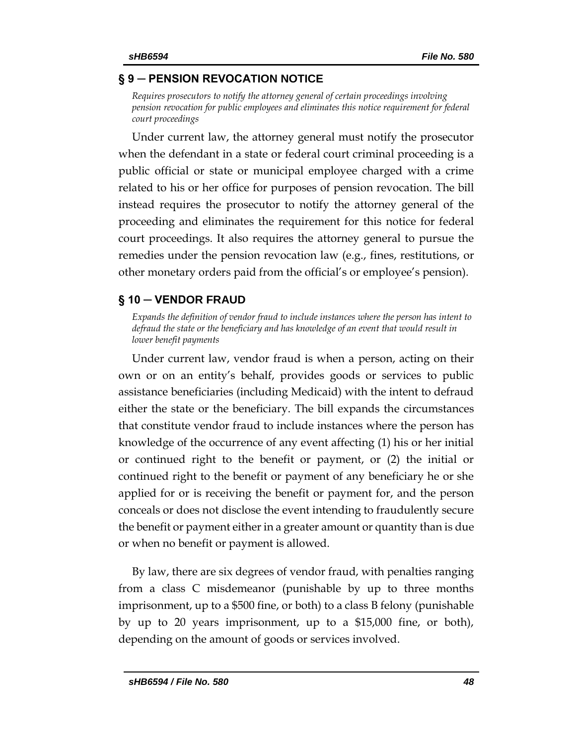## <span id="page-47-3"></span>**§ 9 ─ PENSION REVOCATION NOTICE**

<span id="page-47-0"></span>*Requires prosecutors to notify the attorney general of certain proceedings involving pension revocation for public employees and eliminates this notice requirement for federal court proceedings*

Under current law, the attorney general must notify the prosecutor when the defendant in a state or federal court criminal proceeding is a public official or state or municipal employee charged with a crime related to his or her office for purposes of pension revocation. The bill instead requires the prosecutor to notify the attorney general of the proceeding and eliminates the requirement for this notice for federal court proceedings. It also requires the attorney general to pursue the remedies under the pension revocation law (e.g., fines, restitutions, or other monetary orders paid from the official's or employee's pension).

## <span id="page-47-1"></span>**§ 10 ─ VENDOR FRAUD**

<span id="page-47-2"></span>*Expands the definition of vendor fraud to include instances where the person has intent to defraud the state or the beneficiary and has knowledge of an event that would result in lower benefit payments* 

Under current law, vendor fraud is when a person, acting on their own or on an entity's behalf, provides goods or services to public assistance beneficiaries (including Medicaid) with the intent to defraud either the state or the beneficiary. The bill expands the circumstances that constitute vendor fraud to include instances where the person has knowledge of the occurrence of any event affecting (1) his or her initial or continued right to the benefit or payment, or (2) the initial or continued right to the benefit or payment of any beneficiary he or she applied for or is receiving the benefit or payment for, and the person conceals or does not disclose the event intending to fraudulently secure the benefit or payment either in a greater amount or quantity than is due or when no benefit or payment is allowed.

By law, there are six degrees of vendor fraud, with penalties ranging from a class C misdemeanor (punishable by up to three months imprisonment, up to a \$500 fine, or both) to a class B felony (punishable by up to 20 years imprisonment, up to a \$15,000 fine, or both), depending on the amount of goods or services involved.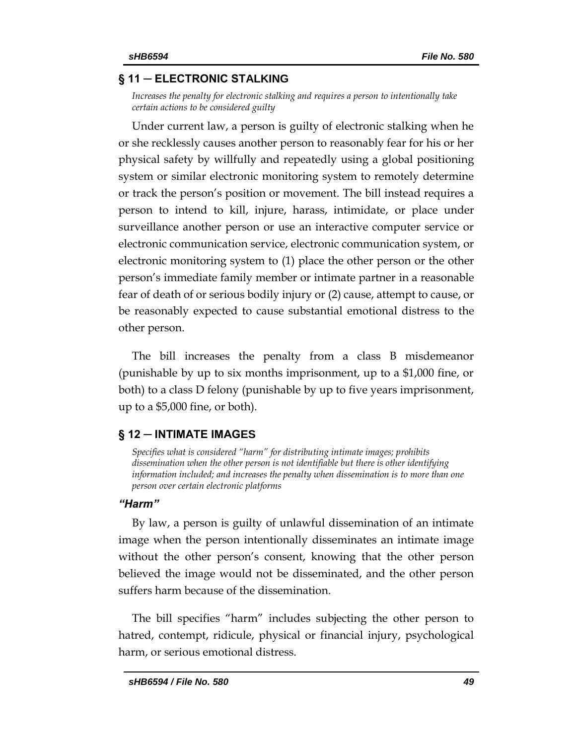## **§ 11 ─ ELECTRONIC STALKING**

*Increases the penalty for electronic stalking and requires a person to intentionally take certain actions to be considered guilty*

Under current law, a person is guilty of electronic stalking when he or she recklessly causes another person to reasonably fear for his or her physical safety by willfully and repeatedly using a global positioning system or similar electronic monitoring system to remotely determine or track the person's position or movement. The bill instead requires a person to intend to kill, injure, harass, intimidate, or place under surveillance another person or use an interactive computer service or electronic communication service, electronic communication system, or electronic monitoring system to (1) place the other person or the other person's immediate family member or intimate partner in a reasonable fear of death of or serious bodily injury or (2) cause, attempt to cause, or be reasonably expected to cause substantial emotional distress to the other person.

The bill increases the penalty from a class B misdemeanor (punishable by up to six months imprisonment, up to a \$1,000 fine, or both) to a class D felony (punishable by up to five years imprisonment, up to a \$5,000 fine, or both).

## <span id="page-48-0"></span>**§ 12 ─ INTIMATE IMAGES**

<span id="page-48-1"></span>*Specifies what is considered "harm" for distributing intimate images; prohibits dissemination when the other person is not identifiable but there is other identifying information included; and increases the penalty when dissemination is to more than one person over certain electronic platforms*

## *"Harm"*

By law, a person is guilty of unlawful dissemination of an intimate image when the person intentionally disseminates an intimate image without the other person's consent, knowing that the other person believed the image would not be disseminated, and the other person suffers harm because of the dissemination.

The bill specifies "harm" includes subjecting the other person to hatred, contempt, ridicule, physical or financial injury, psychological harm, or serious emotional distress.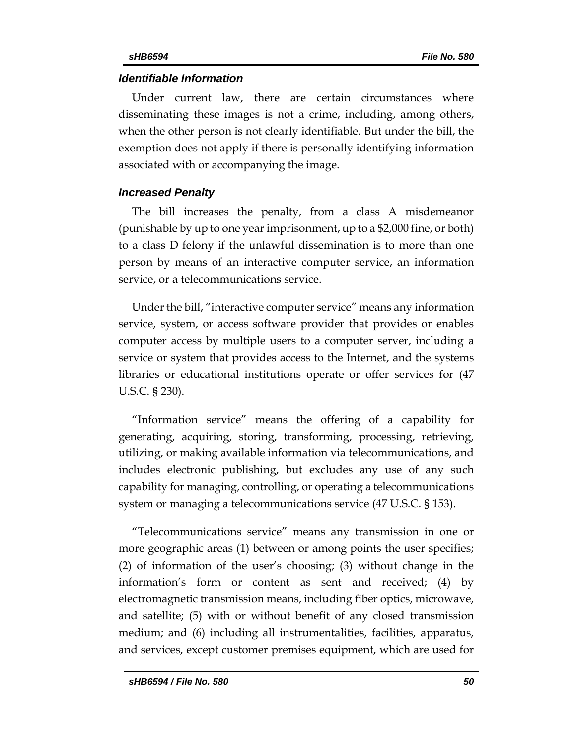## *Identifiable Information*

Under current law, there are certain circumstances where disseminating these images is not a crime, including, among others, when the other person is not clearly identifiable. But under the bill, the exemption does not apply if there is personally identifying information associated with or accompanying the image.

## *Increased Penalty*

The bill increases the penalty, from a class A misdemeanor (punishable by up to one yearimprisonment, up to a \$2,000 fine, or both) to a class D felony if the unlawful dissemination is to more than one person by means of an interactive computer service, an information service, or a telecommunications service.

Under the bill, "interactive computer service" means any information service, system, or access software provider that provides or enables computer access by multiple users to a computer server, including a service or system that provides access to the Internet, and the systems libraries or educational institutions operate or offer services for (47 U.S.C. § 230).

"Information service" means the offering of a capability for generating, acquiring, storing, transforming, processing, retrieving, utilizing, or making available information via telecommunications, and includes electronic publishing, but excludes any use of any such capability for managing, controlling, or operating a telecommunications system or managing a telecommunications service (47 U.S.C. § 153).

"Telecommunications service" means any transmission in one or more geographic areas (1) between or among points the user specifies; (2) of information of the user's choosing; (3) without change in the information's form or content as sent and received; (4) by electromagnetic transmission means, including fiber optics, microwave, and satellite; (5) with or without benefit of any closed transmission medium; and (6) including all instrumentalities, facilities, apparatus, and services, except customer premises equipment, which are used for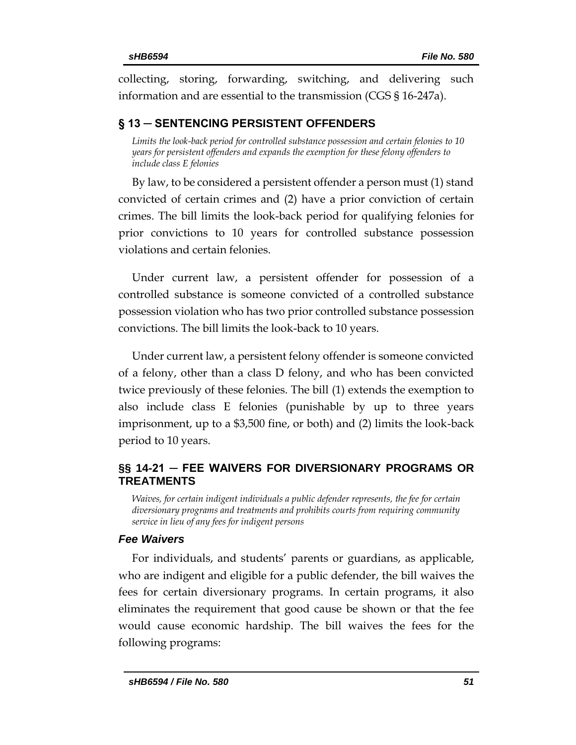collecting, storing, forwarding, switching, and delivering such information and are essential to the transmission (CGS § 16-247a).

# <span id="page-50-0"></span>**§ 13 ─ SENTENCING PERSISTENT OFFENDERS**

<span id="page-50-1"></span>*Limits the look-back period for controlled substance possession and certain felonies to 10 years for persistent offenders and expands the exemption for these felony offenders to include class E felonies*

By law, to be considered a persistent offender a person must (1) stand convicted of certain crimes and (2) have a prior conviction of certain crimes. The bill limits the look-back period for qualifying felonies for prior convictions to 10 years for controlled substance possession violations and certain felonies.

Under current law, a persistent offender for possession of a controlled substance is someone convicted of a controlled substance possession violation who has two prior controlled substance possession convictions. The bill limits the look-back to 10 years.

Under current law, a persistent felony offender is someone convicted of a felony, other than a class D felony, and who has been convicted twice previously of these felonies. The bill (1) extends the exemption to also include class E felonies (punishable by up to three years imprisonment, up to a \$3,500 fine, or both) and (2) limits the look-back period to 10 years.

# <span id="page-50-2"></span>**§§ 14-21 ─ FEE WAIVERS FOR DIVERSIONARY PROGRAMS OR TREATMENTS**

<span id="page-50-3"></span>*Waives, for certain indigent individuals a public defender represents, the fee for certain diversionary programs and treatments and prohibits courts from requiring community service in lieu of any fees for indigent persons*

## *Fee Waivers*

For individuals, and students' parents or guardians, as applicable, who are indigent and eligible for a public defender, the bill waives the fees for certain diversionary programs. In certain programs, it also eliminates the requirement that good cause be shown or that the fee would cause economic hardship. The bill waives the fees for the following programs: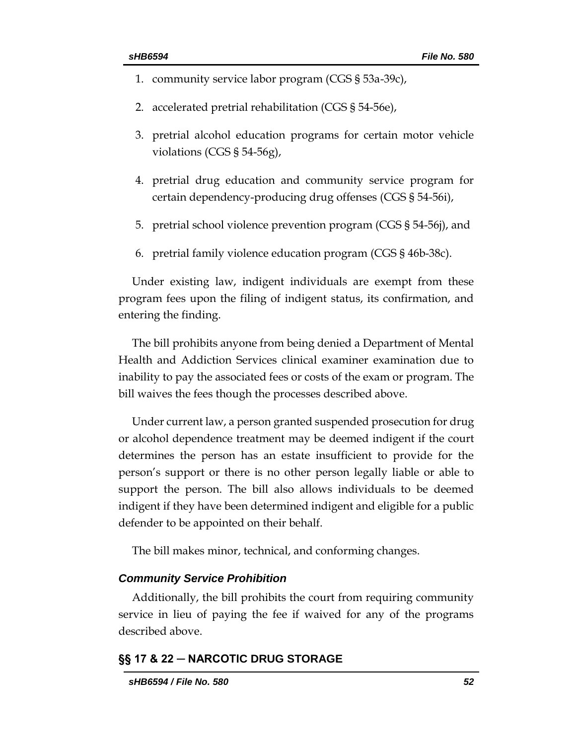- <span id="page-51-1"></span>1. community service labor program (CGS § 53a-39c),
- 2. accelerated pretrial rehabilitation (CGS § 54-56e),
- 3. pretrial alcohol education programs for certain motor vehicle violations (CGS § 54-56g),
- 4. pretrial drug education and community service program for certain dependency-producing drug offenses (CGS § 54-56i),
- 5. pretrial school violence prevention program (CGS § 54-56j), and
- 6. pretrial family violence education program (CGS § 46b-38c).

Under existing law, indigent individuals are exempt from these program fees upon the filing of indigent status, its confirmation, and entering the finding.

The bill prohibits anyone from being denied a Department of Mental Health and Addiction Services clinical examiner examination due to inability to pay the associated fees or costs of the exam or program. The bill waives the fees though the processes described above.

Under current law, a person granted suspended prosecution for drug or alcohol dependence treatment may be deemed indigent if the court determines the person has an estate insufficient to provide for the person's support or there is no other person legally liable or able to support the person. The bill also allows individuals to be deemed indigent if they have been determined indigent and eligible for a public defender to be appointed on their behalf.

The bill makes minor, technical, and conforming changes.

### *Community Service Prohibition*

Additionally, the bill prohibits the court from requiring community service in lieu of paying the fee if waived for any of the programs described above.

## <span id="page-51-0"></span>**§§ 17 & 22 ─ NARCOTIC DRUG STORAGE**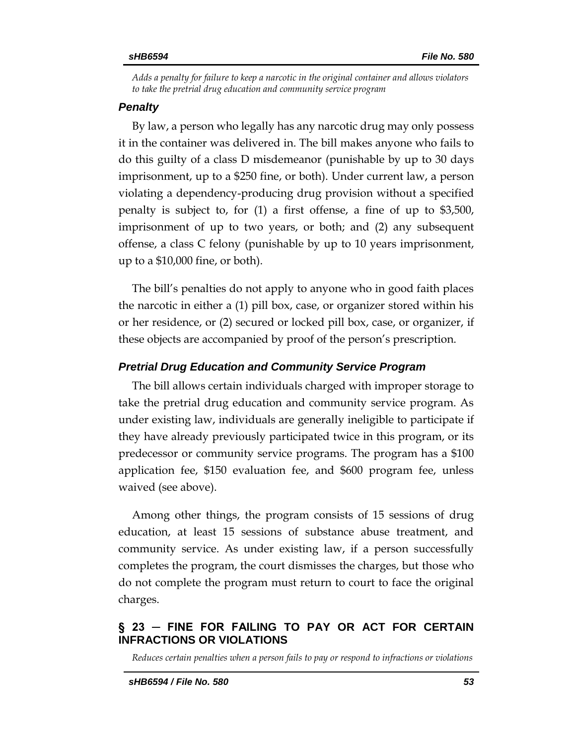*Adds a penalty for failure to keep a narcotic in the original container and allows violators to take the pretrial drug education and community service program*

## *Penalty*

By law, a person who legally has any narcotic drug may only possess it in the container was delivered in. The bill makes anyone who fails to do this guilty of a class D misdemeanor (punishable by up to 30 days imprisonment, up to a \$250 fine, or both). Under current law, a person violating a dependency-producing drug provision without a specified penalty is subject to, for (1) a first offense, a fine of up to \$3,500, imprisonment of up to two years, or both; and (2) any subsequent offense, a class C felony (punishable by up to 10 years imprisonment, up to a \$10,000 fine, or both).

The bill's penalties do not apply to anyone who in good faith places the narcotic in either a (1) pill box, case, or organizer stored within his or her residence, or (2) secured or locked pill box, case, or organizer, if these objects are accompanied by proof of the person's prescription.

## *Pretrial Drug Education and Community Service Program*

The bill allows certain individuals charged with improper storage to take the pretrial drug education and community service program. As under existing law, individuals are generally ineligible to participate if they have already previously participated twice in this program, or its predecessor or community service programs. The program has a \$100 application fee, \$150 evaluation fee, and \$600 program fee, unless waived (see above).

Among other things, the program consists of 15 sessions of drug education, at least 15 sessions of substance abuse treatment, and community service. As under existing law, if a person successfully completes the program, the court dismisses the charges, but those who do not complete the program must return to court to face the original charges.

## <span id="page-52-0"></span>**§ 23 ─ FINE FOR FAILING TO PAY OR ACT FOR CERTAIN INFRACTIONS OR VIOLATIONS**

<span id="page-52-1"></span>*Reduces certain penalties when a person fails to pay or respond to infractions or violations*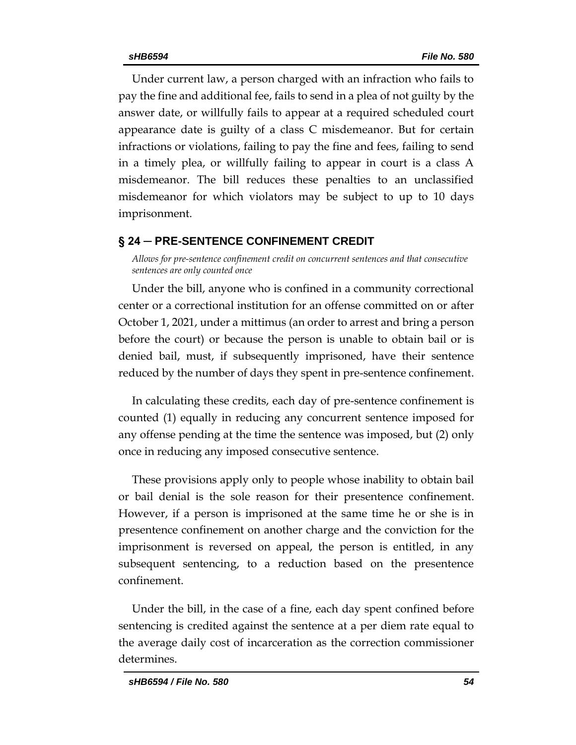<span id="page-53-2"></span>Under current law, a person charged with an infraction who fails to pay the fine and additional fee, fails to send in a plea of not guilty by the answer date, or willfully fails to appear at a required scheduled court appearance date is guilty of a class C misdemeanor. But for certain infractions or violations, failing to pay the fine and fees, failing to send in a timely plea, or willfully failing to appear in court is a class A misdemeanor. The bill reduces these penalties to an unclassified misdemeanor for which violators may be subject to up to 10 days imprisonment.

## <span id="page-53-0"></span>**§ 24 ─ PRE-SENTENCE CONFINEMENT CREDIT**

<span id="page-53-1"></span>*Allows for pre-sentence confinement credit on concurrent sentences and that consecutive sentences are only counted once* 

Under the bill, anyone who is confined in a community correctional center or a correctional institution for an offense committed on or after October 1, 2021, under a mittimus (an order to arrest and bring a person before the court) or because the person is unable to obtain bail or is denied bail, must, if subsequently imprisoned, have their sentence reduced by the number of days they spent in pre-sentence confinement.

In calculating these credits, each day of pre-sentence confinement is counted (1) equally in reducing any concurrent sentence imposed for any offense pending at the time the sentence was imposed, but (2) only once in reducing any imposed consecutive sentence.

These provisions apply only to people whose inability to obtain bail or bail denial is the sole reason for their presentence confinement. However, if a person is imprisoned at the same time he or she is in presentence confinement on another charge and the conviction for the imprisonment is reversed on appeal, the person is entitled, in any subsequent sentencing, to a reduction based on the presentence confinement.

Under the bill, in the case of a fine, each day spent confined before sentencing is credited against the sentence at a per diem rate equal to the average daily cost of incarceration as the correction commissioner determines.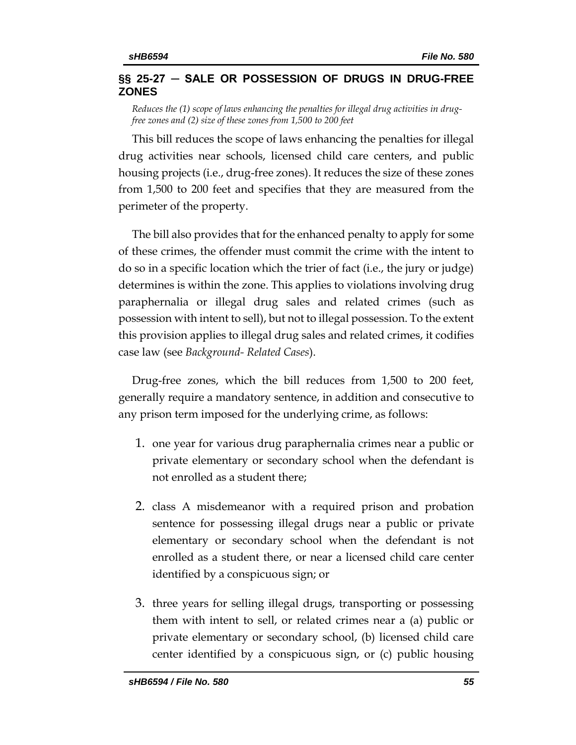## **§§ 25-27 ─ SALE OR POSSESSION OF DRUGS IN DRUG-FREE ZONES**

<span id="page-54-0"></span>*Reduces the (1) scope of laws enhancing the penalties for illegal drug activities in drugfree zones and (2) size of these zones from 1,500 to 200 feet* 

This bill reduces the scope of laws enhancing the penalties for illegal drug activities near schools, licensed child care centers, and public housing projects (i.e., drug-free zones). It reduces the size of these zones from 1,500 to 200 feet and specifies that they are measured from the perimeter of the property.

The bill also provides that for the enhanced penalty to apply for some of these crimes, the offender must commit the crime with the intent to do so in a specific location which the trier of fact (i.e., the jury or judge) determines is within the zone. This applies to violations involving drug paraphernalia or illegal drug sales and related crimes (such as possession with intent to sell), but not to illegal possession. To the extent this provision applies to illegal drug sales and related crimes, it codifies case law (see *Background- Related Cases*).

Drug-free zones, which the bill reduces from 1,500 to 200 feet, generally require a mandatory sentence, in addition and consecutive to any prison term imposed for the underlying crime, as follows:

- 1. one year for various drug paraphernalia crimes near a public or private elementary or secondary school when the defendant is not enrolled as a student there;
- 2. class A misdemeanor with a required prison and probation sentence for possessing illegal drugs near a public or private elementary or secondary school when the defendant is not enrolled as a student there, or near a licensed child care center identified by a conspicuous sign; or
- 3. three years for selling illegal drugs, transporting or possessing them with intent to sell, or related crimes near a (a) public or private elementary or secondary school, (b) licensed child care center identified by a conspicuous sign, or (c) public housing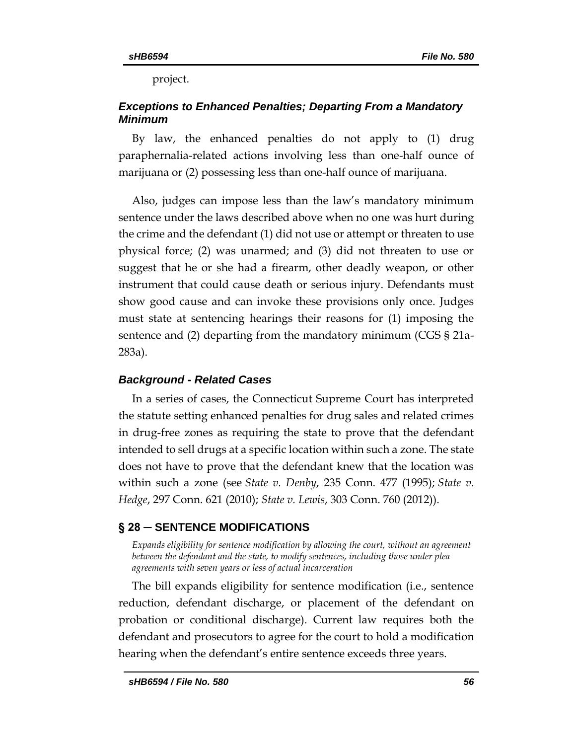project.

# *Exceptions to Enhanced Penalties; Departing From a Mandatory Minimum*

By law, the enhanced penalties do not apply to (1) drug paraphernalia-related actions involving less than one-half ounce of marijuana or (2) possessing less than one-half ounce of marijuana.

Also, judges can impose less than the law's mandatory minimum sentence under the laws described above when no one was hurt during the crime and the defendant (1) did not use or attempt or threaten to use physical force; (2) was unarmed; and (3) did not threaten to use or suggest that he or she had a firearm, other deadly weapon, or other instrument that could cause death or serious injury. Defendants must show good cause and can invoke these provisions only once. Judges must state at sentencing hearings their reasons for (1) imposing the sentence and (2) departing from the mandatory minimum (CGS § 21a-283a).

# *Background - Related Cases*

In a series of cases, the Connecticut Supreme Court has interpreted the statute setting enhanced penalties for drug sales and related crimes in drug-free zones as requiring the state to prove that the defendant intended to sell drugs at a specific location within such a zone. The state does not have to prove that the defendant knew that the location was within such a zone (see *State v. Denby*, 235 Conn. 477 (1995); *State v. Hedge*, 297 Conn. 621 (2010); *State v. Lewis*, 303 Conn. 760 (2012)).

# <span id="page-55-0"></span>**§ 28 ─ SENTENCE MODIFICATIONS**

<span id="page-55-1"></span>*Expands eligibility for sentence modification by allowing the court, without an agreement between the defendant and the state, to modify sentences, including those under plea agreements with seven years or less of actual incarceration*

The bill expands eligibility for sentence modification (i.e., sentence reduction, defendant discharge, or placement of the defendant on probation or conditional discharge). Current law requires both the defendant and prosecutors to agree for the court to hold a modification hearing when the defendant's entire sentence exceeds three years.